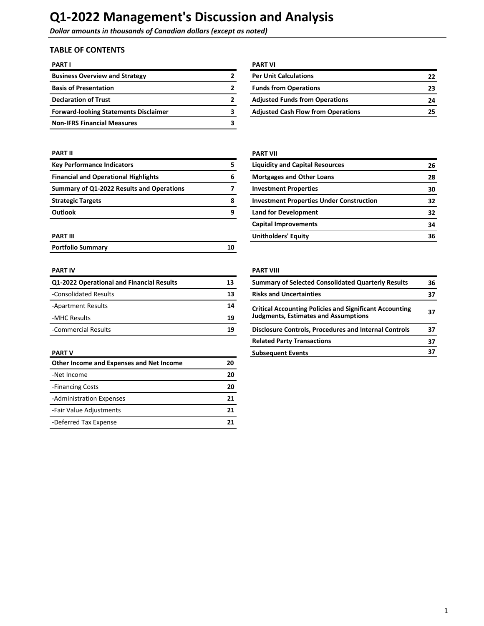**Dollar amounts in thousands of Canadian dollars (except as noted)** 

## **TABLE OF CONTENTS**

| <b>PART I</b>                                | <b>PART VI</b>                            |    |
|----------------------------------------------|-------------------------------------------|----|
| <b>Business Overview and Strategy</b>        | <b>Per Unit Calculations</b>              | 22 |
| <b>Basis of Presentation</b>                 | <b>Funds from Operations</b>              | 23 |
| <b>Declaration of Trust</b>                  | <b>Adjusted Funds from Operations</b>     | 24 |
| <b>Forward-looking Statements Disclaimer</b> | <b>Adjusted Cash Flow from Operations</b> | 25 |
| <b>Non-IFRS Financial Measures</b>           |                                           |    |

| <b>PART VI</b>                            |    |
|-------------------------------------------|----|
| <b>Per Unit Calculations</b>              | 22 |
| <b>Funds from Operations</b>              | 23 |
| <b>Adjusted Funds from Operations</b>     | 24 |
| <b>Adjusted Cash Flow from Operations</b> | 25 |

#### **PART II PART II**

| <b>Key Performance Indicators</b>           | 5 |
|---------------------------------------------|---|
| <b>Financial and Operational Highlights</b> | 6 |
| Summary of Q1-2022 Results and Operations   |   |
| <b>Strategic Targets</b>                    | 8 |
| <b>Outlook</b>                              | 9 |

| <b>Portfolio Summary</b> |  |
|--------------------------|--|
|                          |  |

| Q1-2022 Operational and Financial Results | 13 | <b>Summary of Selected Consolidated Quarterly Results</b>                                                     |  |
|-------------------------------------------|----|---------------------------------------------------------------------------------------------------------------|--|
| -Consolidated Results                     | 13 | <b>Risks and Uncertainties</b>                                                                                |  |
| -Apartment Results                        | 14 | <b>Critical Accounting Policies and Significant Accounting</b><br><b>Judgments, Estimates and Assumptions</b> |  |
| -MHC Results                              | 19 |                                                                                                               |  |
| -Commercial Results                       | 19 | Disclosure Controls, Procedures and Internal Controls                                                         |  |

| Other Income and Expenses and Net Income | 20 |
|------------------------------------------|----|
| -Net Income                              | 20 |
| -Financing Costs                         | 20 |
| -Administration Expenses                 | 21 |
| -Fair Value Adjustments                  | 21 |
| -Deferred Tax Expense                    | 21 |

| <b>Key Performance Indicators</b>           |   | <b>Liquidity and Capital Resources</b>          | 26 |
|---------------------------------------------|---|-------------------------------------------------|----|
| <b>Financial and Operational Highlights</b> | 6 | <b>Mortgages and Other Loans</b>                | 28 |
| Summary of Q1-2022 Results and Operations   |   | <b>Investment Properties</b>                    | 30 |
| <b>Strategic Targets</b>                    | 8 | <b>Investment Properties Under Construction</b> | 32 |
| Outlook                                     | 9 | <b>Land for Development</b>                     | 32 |
|                                             |   | <b>Capital Improvements</b>                     | 34 |
| PART III                                    |   | <b>Unitholders' Equity</b>                      | 36 |

### **PART IV PART IV**

| Q1-2022 Operational and Financial Results | 13 | <b>Summary of Selected Consolidated Quarterly Results</b>      |    |
|-------------------------------------------|----|----------------------------------------------------------------|----|
| -Consolidated Results                     | 13 | <b>Risks and Uncertainties</b>                                 | 37 |
| -Apartment Results                        | 14 | <b>Critical Accounting Policies and Significant Accounting</b> |    |
| -MHC Results                              | 19 | <b>Judgments, Estimates and Assumptions</b>                    |    |
| -Commercial Results<br>19                 |    | <b>Disclosure Controls, Procedures and Internal Controls</b>   | 37 |
|                                           |    | <b>Related Party Transactions</b>                              | 37 |
| PART V                                    |    | <b>Subsequent Events</b>                                       | 37 |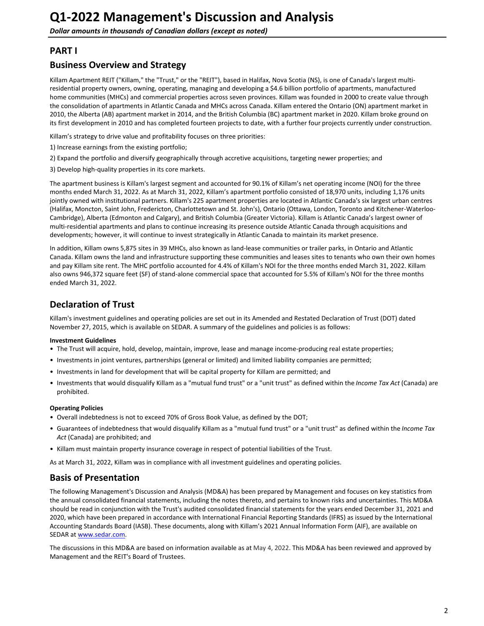## <span id="page-1-0"></span>**PART I**

## **Business Overview and Strategy**

Killam Apartment REIT ("Killam," the "Trust," or the "REIT"), based in Halifax, Nova Scotia (NS), is one of Canada's largest multiresidential property owners, owning, operating, managing and developing a \$4.6 billion portfolio of apartments, manufactured home communities (MHCs) and commercial properties across seven provinces. Killam was founded in 2000 to create value through the consolidation of apartments in Atlantic Canada and MHCs across Canada. Killam entered the Ontario (ON) apartment market in 2010, the Alberta (AB) apartment market in 2014, and the British Columbia (BC) apartment market in 2020. Killam broke ground on its first development in 2010 and has completed fourteen projects to date, with a further four projects currently under construction.

Killam's strategy to drive value and profitability focuses on three priorities:

- 1) Increase earnings from the existing portfolio;
- 2) Expand the portfolio and diversify geographically through accretive acquisitions, targeting newer properties; and
- 3) Develop high-quality properties in its core markets.

The apartment business is Killam's largest segment and accounted for 90.1% of Killam's net operating income (NOI) for the three months ended March 31, 2022. As at March 31, 2022, Killam's apartment portfolio consisted of 18,970 units, including 1,176 units jointly owned with institutional partners. Killam's 225 apartment properties are located in Atlantic Canada's six largest urban centres (Halifax, Moncton, Saint John, Fredericton, Charlottetown and St. John's), Ontario (Ottawa, London, Toronto and Kitchener-Waterloo-Cambridge), Alberta (Edmonton and Calgary), and British Columbia (Greater Victoria). Killam is Atlantic Canada's largest owner of multi-residential apartments and plans to continue increasing its presence outside Atlantic Canada through acquisitions and developments; however, it will continue to invest strategically in Atlantic Canada to maintain its market presence.

In addition, Killam owns 5,875 sites in 39 MHCs, also known as land-lease communities or trailer parks, in Ontario and Atlantic Canada. Killam owns the land and infrastructure supporting these communities and leases sites to tenants who own their own homes and pay Killam site rent. The MHC portfolio accounted for 4.4% of Killam's NOI for the three months ended March 31, 2022. Killam also owns 946,372 square feet (SF) of stand-alone commercial space that accounted for 5.5% of Killam's NOI for the three months ended March 31, 2022.

## **Declaration of Trust**

Killam's investment guidelines and operating policies are set out in its Amended and Restated Declaration of Trust (DOT) dated November 27, 2015, which is available on SEDAR. A summary of the guidelines and policies is as follows:

#### **Investment Guidelines**

- The Trust will acquire, hold, develop, maintain, improve, lease and manage income-producing real estate properties;
- Investments in joint ventures, partnerships (general or limited) and limited liability companies are permitted;
- Investments in land for development that will be capital property for Killam are permitted; and
- Investments that would disqualify Killam as a "mutual fund trust" or a "unit trust" as defined within the Income Tax Act (Canada) are prohibited.

#### **Operating Policies**

- Overall indebtedness is not to exceed 70% of Gross Book Value, as defined by the DOT;
- Guarantees of indebtedness that would disqualify Killam as a "mutual fund trust" or a "unit trust" as defined within the *Income Tax* Act (Canada) are prohibited; and
- Killam must maintain property insurance coverage in respect of potential liabilities of the Trust.

As at March 31, 2022, Killam was in compliance with all investment guidelines and operating policies.

## **Basis of Presentation**

The following Management's Discussion and Analysis (MD&A) has been prepared by Management and focuses on key statistics from the annual consolidated financial statements, including the notes thereto, and pertains to known risks and uncertainties. This MD&A should be read in conjunction with the Trust's audited consolidated financial statements for the years ended December 31, 2021 and 2020, which have been prepared in accordance with International Financial Reporting Standards (IFRS) as issued by the International Accounting Standards Board (IASB). These documents, along with Killam's 2021 Annual Information Form (AIF), are available on SEDAR at [www.sedar.com](http://www.sedar.com).

The discussions in this MD&A are based on information available as at May 4, 2022. This MD&A has been reviewed and approved by Management and the REIT's Board of Trustees.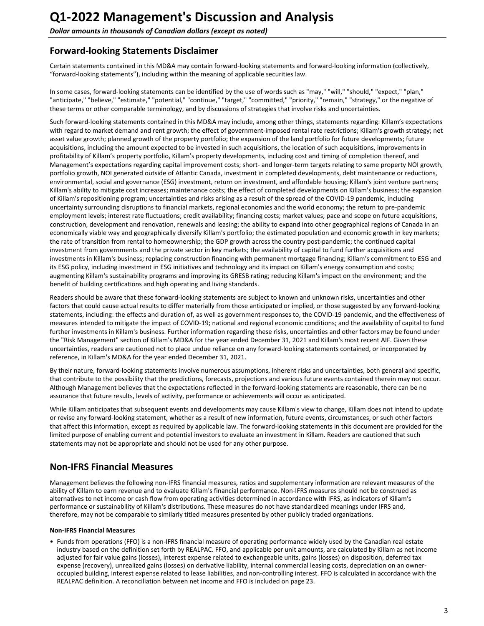## <span id="page-2-0"></span>**Forward-looking Statements Disclaimer**

Certain statements contained in this MD&A may contain forward-looking statements and forward-looking information (collectively, "forward-looking statements"), including within the meaning of applicable securities law.

In some cases, forward-looking statements can be identified by the use of words such as "may," "will," "should," "expect," "plan," "anticipate," "believe," "estimate," "potential," "continue," "target," "committed," "priority," "remain," "strategy," or the negative of these terms or other comparable terminology, and by discussions of strategies that involve risks and uncertainties.

Such forward-looking statements contained in this MD&A may include, among other things, statements regarding: Killam's expectations with regard to market demand and rent growth; the effect of government-imposed rental rate restrictions; Killam's growth strategy; net asset value growth; planned growth of the property portfolio; the expansion of the land portfolio for future developments; future acquisitions, including the amount expected to be invested in such acquisitions, the location of such acquisitions, improvements in profitability of Killam's property portfolio, Killam's property developments, including cost and timing of completion thereof, and Management's expectations regarding capital improvement costs; short- and longer-term targets relating to same property NOI growth, portfolio growth, NOI generated outside of Atlantic Canada, investment in completed developments, debt maintenance or reductions, environmental, social and governance (ESG) investment, return on investment, and affordable housing; Killam's joint venture partners; Killam's ability to mitigate cost increases; maintenance costs; the effect of completed developments on Killam's business; the expansion of Killam's repositioning program; uncertainties and risks arising as a result of the spread of the COVID-19 pandemic, including uncertainty surrounding disruptions to financial markets, regional economies and the world economy; the return to pre-pandemic employment levels; interest rate fluctuations; credit availability; financing costs; market values; pace and scope on future acquisitions, construction, development and renovation, renewals and leasing; the ability to expand into other geographical regions of Canada in an economically viable way and geographically diversify Killam's portfolio; the estimated population and economic growth in key markets; the rate of transition from rental to homeownership; the GDP growth across the country post-pandemic; the continued capital investment from governments and the private sector in key markets; the availability of capital to fund further acquisitions and investments in Killam's business; replacing construction financing with permanent mortgage financing; Killam's commitment to ESG and its ESG policy, including investment in ESG initiatives and technology and its impact on Killam's energy consumption and costs; augmenting Killam's sustainability programs and improving its GRESB rating; reducing Killam's impact on the environment; and the benefit of building certifications and high operating and living standards.

Readers should be aware that these forward-looking statements are subject to known and unknown risks, uncertainties and other factors that could cause actual results to differ materially from those anticipated or implied, or those suggested by any forward-looking statements, including: the effects and duration of, as well as government responses to, the COVID-19 pandemic, and the effectiveness of measures intended to mitigate the impact of COVID-19; national and regional economic conditions; and the availability of capital to fund further investments in Killam's business. Further information regarding these risks, uncertainties and other factors may be found under the "Risk Management" section of Killam's MD&A for the year ended December 31, 2021 and Killam's most recent AIF. Given these uncertainties, readers are cautioned not to place undue reliance on any forward-looking statements contained, or incorporated by reference, in Killam's MD&A for the year ended December 31, 2021.

By their nature, forward-looking statements involve numerous assumptions, inherent risks and uncertainties, both general and specific, that contribute to the possibility that the predictions, forecasts, projections and various future events contained therein may not occur. Although Management believes that the expectations reflected in the forward-looking statements are reasonable, there can be no assurance that future results, levels of activity, performance or achievements will occur as anticipated.

While Killam anticipates that subsequent events and developments may cause Killam's view to change, Killam does not intend to update or revise any forward-looking statement, whether as a result of new information, future events, circumstances, or such other factors that affect this information, except as required by applicable law. The forward-looking statements in this document are provided for the limited purpose of enabling current and potential investors to evaluate an investment in Killam. Readers are cautioned that such statements may not be appropriate and should not be used for any other purpose.

## **Non-IFRS Financial Measures**

Management believes the following non-IFRS financial measures, ratios and supplementary information are relevant measures of the ability of Killam to earn revenue and to evaluate Killam's financial performance. Non-IFRS measures should not be construed as alternatives to net income or cash flow from operating activities determined in accordance with IFRS, as indicators of Killam's performance or sustainability of Killam's distributions. These measures do not have standardized meanings under IFRS and, therefore, may not be comparable to similarly titled measures presented by other publicly traded organizations.

#### **Non-IFRS Financial Measures**

• Funds from operations (FFO) is a non-IFRS financial measure of operating performance widely used by the Canadian real estate industry based on the definition set forth by REALPAC. FFO, and applicable per unit amounts, are calculated by Killam as net income adjusted for fair value gains (losses), interest expense related to exchangeable units, gains (losses) on disposition, deferred tax expense (recovery), unrealized gains (losses) on derivative liability, internal commercial leasing costs, depreciation on an owneroccupied building, interest expense related to lease liabilities, and non-controlling interest. FFO is calculated in accordance with the REALPAC definition. A reconciliation between net income and FFO is included on page 23.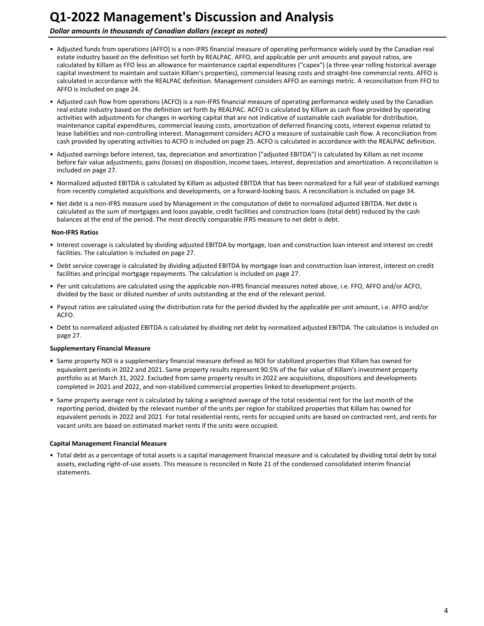### **Dollar amounts in thousands of Canadian dollars (except as noted)**

- Adjusted funds from operations (AFFO) is a non-IFRS financial measure of operating performance widely used by the Canadian real estate industry based on the definition set forth by REALPAC. AFFO, and applicable per unit amounts and payout ratios, are calculated by Killam as FFO less an allowance for maintenance capital expenditures ("capex") (a three-year rolling historical average capital investment to maintain and sustain Killam's properties), commercial leasing costs and straight-line commercial rents. AFFO is calculated in accordance with the REALPAC definition. Management considers AFFO an earnings metric. A reconciliation from FFO to AFFO is included on page [24.](#page-23-0)
- Adjusted cash flow from operations (ACFO) is a non-IFRS financial measure of operating performance widely used by the Canadian real estate industry based on the definition set forth by REALPAC. ACFO is calculated by Killam as cash flow provided by operating activities with adjustments for changes in working capital that are not indicative of sustainable cash available for distribution, maintenance capital expenditures, commercial leasing costs, amortization of deferred financing costs, interest expense related to lease liabilities and non-controlling interest. Management considers ACFO a measure of sustainable cash flow. A reconciliation from cash provided by operating activities to ACFO is included on page [25.](#page-24-0) ACFO is calculated in accordance with the REALPAC definition.
- Adjusted earnings before interest, tax, depreciation and amortization ("adjusted EBITDA") is calculated by Killam as net income before fair value adjustments, gains (losses) on disposition, income taxes, interest, depreciation and amortization. A reconciliation is included on page 27.
- Normalized adjusted EBITDA is calculated by Killam as adjusted EBITDA that has been normalized for a full year of stabilized earnings from recently completed acquisitions and developments, on a forward-looking basis. A reconciliation is included on page 34.
- Net debt is a non-IFRS measure used by Management in the computation of debt to normalized adjusted EBITDA. Net debt is calculated as the sum of mortgages and loans payable, credit facilities and construction loans (total debt) reduced by the cash balances at the end of the period. The most directly comparable IFRS measure to net debt is debt.

#### **Non-IFRS Ratios**

- Interest coverage is calculated by dividing adjusted EBITDA by mortgage, loan and construction loan interest and interest on credit facilities. The calculation is included on page 27.
- Debt service coverage is calculated by dividing adjusted EBITDA by mortgage loan and construction loan interest, interest on credit facilities and principal mortgage repayments. The calculation is included on page 27.
- Per unit calculations are calculated using the applicable non-IFRS financial measures noted above, i.e. FFO, AFFO and/or ACFO, divided by the basic or diluted number of units outstanding at the end of the relevant period.
- Payout ratios are calculated using the distribution rate for the period divided by the applicable per unit amount, i.e. AFFO and/or ACFO.
- Debt to normalized adjusted EBITDA is calculated by dividing net debt by normalized adjusted EBITDA. The calculation is included on page 27.

#### **Supplementary Financial Measure**

- Same property NOI is a supplementary financial measure defined as NOI for stabilized properties that Killam has owned for equivalent periods in 2022 and 2021. Same property results represent 90.5% of the fair value of Killam's investment property portfolio as at March 31, 2022. Excluded from same property results in 2022 are acquisitions, dispositions and developments completed in 2021 and 2022, and non-stabilized commercial properties linked to development projects.
- Same property average rent is calculated by taking a weighted average of the total residential rent for the last month of the reporting period, divided by the relevant number of the units per region for stabilized properties that Killam has owned for equivalent periods in 2022 and 2021. For total residential rents, rents for occupied units are based on contracted rent, and rents for vacant units are based on estimated market rents if the units were occupied.

#### **Capital Management Financial Measure**

• Total debt as a percentage of total assets is a capital management financial measure and is calculated by dividing total debt by total assets, excluding right-of-use assets. This measure is reconciled in Note 21 of the condensed consolidated interim financial statements.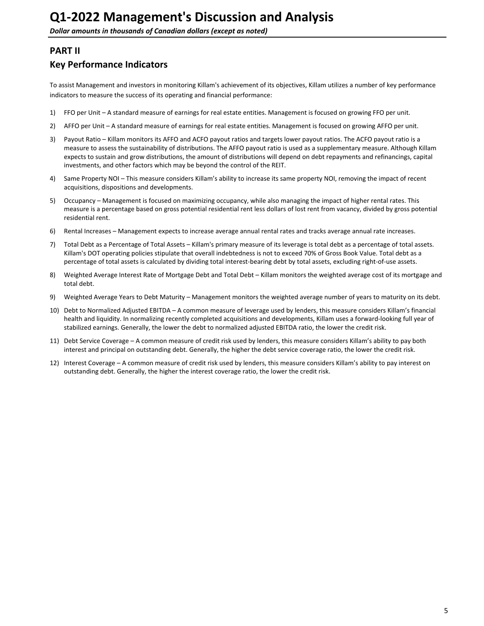## <span id="page-4-0"></span>**PART II**

## **Key Performance Indicators**

To assist Management and investors in monitoring Killam's achievement of its objectives, Killam utilizes a number of key performance indicators to measure the success of its operating and financial performance:

- 1) FFO per Unit A standard measure of earnings for real estate entities. Management is focused on growing FFO per unit.
- 2) AFFO per Unit A standard measure of earnings for real estate entities. Management is focused on growing AFFO per unit.
- 3) Payout Ratio Killam monitors its AFFO and ACFO payout ratios and targets lower payout ratios. The ACFO payout ratio is a measure to assess the sustainability of distributions. The AFFO payout ratio is used as a supplementary measure. Although Killam expects to sustain and grow distributions, the amount of distributions will depend on debt repayments and refinancings, capital investments, and other factors which may be beyond the control of the REIT.
- 4) Same Property NOI This measure considers Killam's ability to increase its same property NOI, removing the impact of recent acquisitions, dispositions and developments.
- 5) Occupancy Management is focused on maximizing occupancy, while also managing the impact of higher rental rates. This measure is a percentage based on gross potential residential rent less dollars of lost rent from vacancy, divided by gross potential residential rent.
- 6) Rental Increases Management expects to increase average annual rental rates and tracks average annual rate increases.
- 7) Total Debt as a Percentage of Total Assets Killam's primary measure of its leverage is total debt as a percentage of total assets. Killam's DOT operating policies stipulate that overall indebtedness is not to exceed 70% of Gross Book Value. Total debt as a percentage of total assets is calculated by dividing total interest-bearing debt by total assets, excluding right-of-use assets.
- 8) Weighted Average Interest Rate of Mortgage Debt and Total Debt Killam monitors the weighted average cost of its mortgage and total debt.
- 9) Weighted Average Years to Debt Maturity Management monitors the weighted average number of years to maturity on its debt.
- 10) Debt to Normalized Adjusted EBITDA A common measure of leverage used by lenders, this measure considers Killam's financial health and liquidity. In normalizing recently completed acquisitions and developments, Killam uses a forward-looking full year of stabilized earnings. Generally, the lower the debt to normalized adjusted EBITDA ratio, the lower the credit risk.
- 11) Debt Service Coverage A common measure of credit risk used by lenders, this measure considers Killam's ability to pay both interest and principal on outstanding debt. Generally, the higher the debt service coverage ratio, the lower the credit risk.
- 12) Interest Coverage A common measure of credit risk used by lenders, this measure considers Killam's ability to pay interest on outstanding debt. Generally, the higher the interest coverage ratio, the lower the credit risk.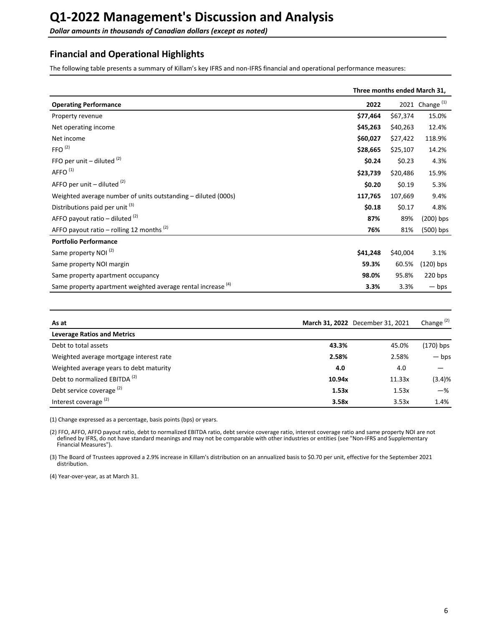<span id="page-5-0"></span>**Dollar amounts in thousands of Canadian dollars (except as noted)** 

## **Financial and Operational Highlights**

The following table presents a summary of Killam's key IFRS and non-IFRS financial and operational performance measures:

|                                                                         | Three months ended March 31, |          |                   |
|-------------------------------------------------------------------------|------------------------------|----------|-------------------|
| <b>Operating Performance</b>                                            | 2022                         |          | 2021 Change $(1)$ |
| Property revenue                                                        | \$77,464                     | \$67,374 | 15.0%             |
| Net operating income                                                    | \$45,263                     | \$40,263 | 12.4%             |
| Net income                                                              | \$60,027                     | \$27,422 | 118.9%            |
| FFO <sup>(2)</sup>                                                      | \$28,665                     | \$25,107 | 14.2%             |
| FFO per unit $-$ diluted $(2)$                                          | \$0.24                       | \$0.23   | 4.3%              |
| AFFO <sup>(1)</sup>                                                     | \$23,739                     | \$20,486 | 15.9%             |
| AFFO per unit $-$ diluted $(2)$                                         | \$0.20                       | \$0.19   | 5.3%              |
| Weighted average number of units outstanding – diluted (000s)           | 117,765                      | 107,669  | 9.4%              |
| Distributions paid per unit <sup>(3)</sup>                              | \$0.18                       | \$0.17   | 4.8%              |
| AFFO payout ratio – diluted $(2)$                                       | 87%                          | 89%      | $(200)$ bps       |
| AFFO payout ratio – rolling 12 months $(2)$                             | 76%                          | 81%      | (500) bps         |
| <b>Portfolio Performance</b>                                            |                              |          |                   |
| Same property NOI <sup>(2)</sup>                                        | \$41,248                     | \$40,004 | 3.1%              |
| Same property NOI margin                                                | 59.3%                        | 60.5%    | $(120)$ bps       |
| Same property apartment occupancy                                       | 98.0%                        | 95.8%    | 220 bps           |
| Same property apartment weighted average rental increase <sup>(4)</sup> | 3.3%                         | 3.3%     | $-\mathsf{bps}$   |

| As at                                    |        | March 31, 2022 December 31, 2021 | Change $(2)$    |
|------------------------------------------|--------|----------------------------------|-----------------|
| <b>Leverage Ratios and Metrics</b>       |        |                                  |                 |
| Debt to total assets                     | 43.3%  | 45.0%                            | (170) bps       |
| Weighted average mortgage interest rate  | 2.58%  | 2.58%                            | $-\mathsf{bps}$ |
| Weighted average years to debt maturity  | 4.0    | 4.0                              |                 |
| Debt to normalized EBITDA <sup>(2)</sup> | 10.94x | 11.33x                           | (3.4)%          |
| Debt service coverage <sup>(2)</sup>     | 1.53x  | 1.53x                            | $-$ %           |
| Interest coverage <sup>(2)</sup>         | 3.58x  | 3.53x                            | 1.4%            |

(1) Change expressed as a percentage, basis points (bps) or years.

(2) FFO, AFFO, AFFO payout ratio, debt to normalized EBITDA ratio, debt service coverage ratio, interest coverage ratio and same property NOI are not defined by IFRS, do not have standard meanings and may not be comparable with other industries or entities (see "Non-IFRS and Supplementary Financial Measures").

(3) The Board of Trustees approved a 2.9% increase in Killam's distribution on an annualized basis to \$0.70 per unit, effective for the September 2021 distribution. 

(4) Year-over-year, as at March 31.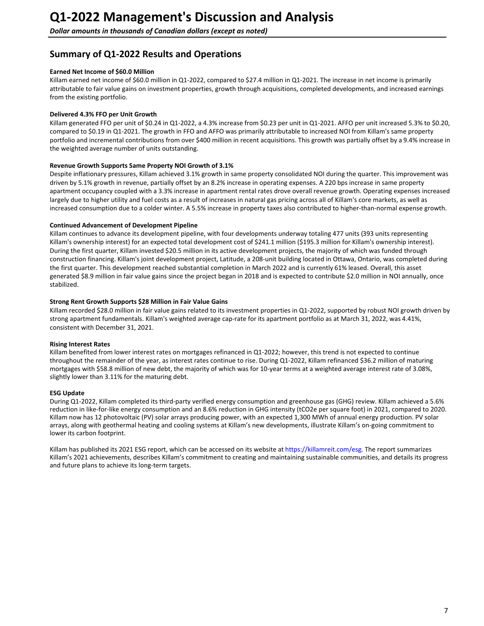## <span id="page-6-0"></span>**Summary of Q1-2022 Results and Operations**

#### **Earned Net Income of \$60.0 Million**

Killam earned net income of \$60.0 million in Q1-2022, compared to \$27.4 million in Q1-2021. The increase in net income is primarily attributable to fair value gains on investment properties, growth through acquisitions, completed developments, and increased earnings from the existing portfolio.

### Delivered 4.3% FFO per Unit Growth

Killam generated FFO per unit of \$0.24 in Q1-2022, a 4.3% increase from \$0.23 per unit in Q1-2021. AFFO per unit increased 5.3% to \$0.20, compared to \$0.19 in Q1-2021. The growth in FFO and AFFO was primarily attributable to increased NOI from Killam's same property portfolio and incremental contributions from over \$400 million in recent acquisitions. This growth was partially offset by a 9.4% increase in the weighted average number of units outstanding.

#### **Revenue Growth Supports Same Property NOI Growth of 3.1%**

Despite inflationary pressures, Killam achieved 3.1% growth in same property consolidated NOI during the quarter. This improvement was driven by 5.1% growth in revenue, partially offset by an 8.2% increase in operating expenses. A 220 bps increase in same property apartment occupancy coupled with a 3.3% increase in apartment rental rates drove overall revenue growth. Operating expenses increased largely due to higher utility and fuel costs as a result of increases in natural gas pricing across all of Killam's core markets, as well as increased consumption due to a colder winter. A 5.5% increase in property taxes also contributed to higher-than-normal expense growth.

#### **Continued Advancement of Development Pipeline**

Killam continues to advance its development pipeline, with four developments underway totaling 477 units (393 units representing Killam's ownership interest) for an expected total development cost of \$241.1 million (\$195.3 million for Killam's ownership interest). During the first quarter, Killam invested \$20.5 million in its active development projects, the majority of which was funded through construction financing. Killam's joint development project, Latitude, a 208-unit building located in Ottawa, Ontario, was completed during the first quarter. This development reached substantial completion in March 2022 and is currently 61% leased. Overall, this asset generated \$8.9 million in fair value gains since the project began in 2018 and is expected to contribute \$2.0 million in NOI annually, once stabilized.

#### **Strong Rent Growth Supports \$28 Million in Fair Value Gains**

Killam recorded \$28.0 million in fair value gains related to its investment properties in Q1-2022, supported by robust NOI growth driven by strong apartment fundamentals. Killam's weighted average cap-rate for its apartment portfolio as at March 31, 2022, was 4.41%, consistent with December 31, 2021.

### **Rising Interest Rates**

Killam benefited from lower interest rates on mortgages refinanced in Q1-2022; however, this trend is not expected to continue throughout the remainder of the year, as interest rates continue to rise. During Q1-2022, Killam refinanced \$36.2 million of maturing mortgages with \$58.8 million of new debt, the majority of which was for 10-year terms at a weighted average interest rate of 3.08%, slightly lower than 3.11% for the maturing debt.

#### **ESG Update**

During Q1-2022, Killam completed its third-party verified energy consumption and greenhouse gas (GHG) review. Killam achieved a 5.6% reduction in like-for-like energy consumption and an 8.6% reduction in GHG intensity (tCO2e per square foot) in 2021, compared to 2020. Killam now has 12 photovoltaic (PV) solar arrays producing power, with an expected 1,300 MWh of annual energy production. PV solar arrays, along with geothermal heating and cooling systems at Killam's new developments, illustrate Killam's on-going commitment to lower its carbon footprint.

Killam has published its 2021 ESG report, which can be accessed on its website at https://killamreit.com/esg. The report summarizes Killam's 2021 achievements, describes Killam's commitment to creating and maintaining sustainable communities, and details its progress and future plans to achieve its long-term targets.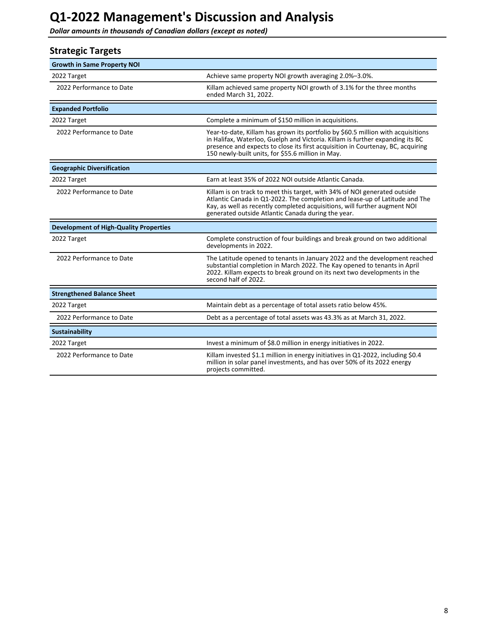<span id="page-7-0"></span>**Dollar amounts in thousands of Canadian dollars (except as noted)** 

## **Strategic Targets**

| <b>Growth in Same Property NOI</b>            |                                                                                                                                                                                                                                                                                                           |
|-----------------------------------------------|-----------------------------------------------------------------------------------------------------------------------------------------------------------------------------------------------------------------------------------------------------------------------------------------------------------|
| 2022 Target                                   | Achieve same property NOI growth averaging 2.0%-3.0%.                                                                                                                                                                                                                                                     |
| 2022 Performance to Date                      | Killam achieved same property NOI growth of 3.1% for the three months<br>ended March 31, 2022.                                                                                                                                                                                                            |
| <b>Expanded Portfolio</b>                     |                                                                                                                                                                                                                                                                                                           |
| 2022 Target                                   | Complete a minimum of \$150 million in acquisitions.                                                                                                                                                                                                                                                      |
| 2022 Performance to Date                      | Year-to-date, Killam has grown its portfolio by \$60.5 million with acquisitions<br>in Halifax, Waterloo, Guelph and Victoria. Killam is further expanding its BC<br>presence and expects to close its first acquisition in Courtenay, BC, acquiring<br>150 newly-built units, for \$55.6 million in May. |
| <b>Geographic Diversification</b>             |                                                                                                                                                                                                                                                                                                           |
| 2022 Target                                   | Earn at least 35% of 2022 NOI outside Atlantic Canada.                                                                                                                                                                                                                                                    |
| 2022 Performance to Date                      | Killam is on track to meet this target, with 34% of NOI generated outside<br>Atlantic Canada in Q1-2022. The completion and lease-up of Latitude and The<br>Kay, as well as recently completed acquisitions, will further augment NOI<br>generated outside Atlantic Canada during the year.               |
| <b>Development of High-Quality Properties</b> |                                                                                                                                                                                                                                                                                                           |
| 2022 Target                                   | Complete construction of four buildings and break ground on two additional<br>developments in 2022.                                                                                                                                                                                                       |
| 2022 Performance to Date                      | The Latitude opened to tenants in January 2022 and the development reached<br>substantial completion in March 2022. The Kay opened to tenants in April<br>2022. Killam expects to break ground on its next two developments in the<br>second half of 2022.                                                |
| <b>Strengthened Balance Sheet</b>             |                                                                                                                                                                                                                                                                                                           |
| 2022 Target                                   | Maintain debt as a percentage of total assets ratio below 45%.                                                                                                                                                                                                                                            |
| 2022 Performance to Date                      | Debt as a percentage of total assets was 43.3% as at March 31, 2022.                                                                                                                                                                                                                                      |
| Sustainability                                |                                                                                                                                                                                                                                                                                                           |
| 2022 Target                                   | Invest a minimum of \$8.0 million in energy initiatives in 2022.                                                                                                                                                                                                                                          |
| 2022 Performance to Date                      | Killam invested \$1.1 million in energy initiatives in Q1-2022, including \$0.4<br>million in solar panel investments, and has over 50% of its 2022 energy<br>projects committed.                                                                                                                         |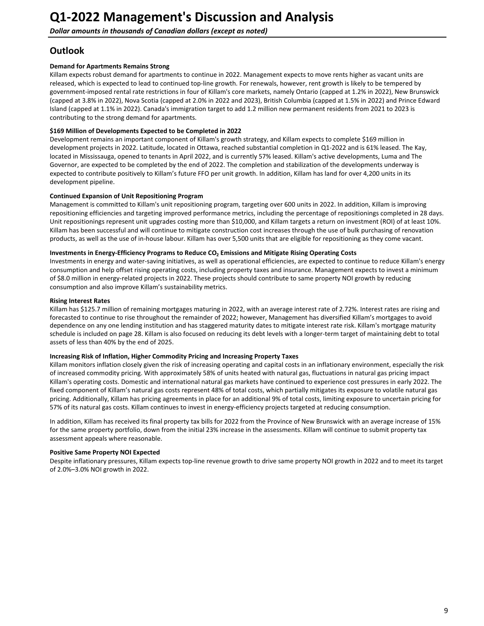## <span id="page-8-0"></span>**Outlook**

#### **Demand for Apartments Remains Strong**

Killam expects robust demand for apartments to continue in 2022. Management expects to move rents higher as vacant units are released, which is expected to lead to continued top-line growth. For renewals, however, rent growth is likely to be tempered by government-imposed rental rate restrictions in four of Killam's core markets, namely Ontario (capped at 1.2% in 2022), New Brunswick (capped at 3.8% in 2022), Nova Scotia (capped at 2.0% in 2022 and 2023), British Columbia (capped at 1.5% in 2022) and Prince Edward Island (capped at 1.1% in 2022). Canada's immigration target to add 1.2 million new permanent residents from 2021 to 2023 is contributing to the strong demand for apartments.

#### \$169 Million of Developments Expected to be Completed in 2022

Development remains an important component of Killam's growth strategy, and Killam expects to complete \$169 million in development projects in 2022. Latitude, located in Ottawa, reached substantial completion in Q1-2022 and is 61% leased. The Kay, located in Mississauga, opened to tenants in April 2022, and is currently 57% leased. Killam's active developments, Luma and The Governor, are expected to be completed by the end of 2022. The completion and stabilization of the developments underway is expected to contribute positively to Killam's future FFO per unit growth. In addition, Killam has land for over 4,200 units in its development pipeline.

#### **Continued Expansion of Unit Repositioning Program**

Management is committed to Killam's unit repositioning program, targeting over 600 units in 2022. In addition, Killam is improving repositioning efficiencies and targeting improved performance metrics, including the percentage of repositionings completed in 28 days. Unit repositionings represent unit upgrades costing more than \$10,000, and Killam targets a return on investment (ROI) of at least 10%. Killam has been successful and will continue to mitigate construction cost increases through the use of bulk purchasing of renovation products, as well as the use of in-house labour. Killam has over 5,500 units that are eligible for repositioning as they come vacant.

### Investments in Energy-Efficiency Programs to Reduce CO<sub>2</sub> Emissions and Mitigate Rising Operating Costs

Investments in energy and water-saving initiatives, as well as operational efficiencies, are expected to continue to reduce Killam's energy consumption and help offset rising operating costs, including property taxes and insurance. Management expects to invest a minimum of \$8.0 million in energy-related projects in 2022. These projects should contribute to same property NOI growth by reducing consumption and also improve Killam's sustainability metrics.

#### **Rising Interest Rates**

Killam has \$125.7 million of remaining mortgages maturing in 2022, with an average interest rate of 2.72%. Interest rates are rising and forecasted to continue to rise throughout the remainder of 2022; however, Management has diversified Killam's mortgages to avoid dependence on any one lending institution and has staggered maturity dates to mitigate interest rate risk. Killam's mortgage maturity schedule is included on page 28. Killam is also focused on reducing its debt levels with a longer-term target of maintaining debt to total assets of less than 40% by the end of 2025.

#### **Increasing Risk of Inflation, Higher Commodity Pricing and Increasing Property Taxes**

Killam monitors inflation closely given the risk of increasing operating and capital costs in an inflationary environment, especially the risk of increased commodity pricing. With approximately 58% of units heated with natural gas, fluctuations in natural gas pricing impact Killam's operating costs. Domestic and international natural gas markets have continued to experience cost pressures in early 2022. The fixed component of Killam's natural gas costs represent 48% of total costs, which partially mitigates its exposure to volatile natural gas pricing. Additionally, Killam has pricing agreements in place for an additional 9% of total costs, limiting exposure to uncertain pricing for 57% of its natural gas costs. Killam continues to invest in energy-efficiency projects targeted at reducing consumption.

In addition, Killam has received its final property tax bills for 2022 from the Province of New Brunswick with an average increase of 15% for the same property portfolio, down from the initial 23% increase in the assessments. Killam will continue to submit property tax assessment appeals where reasonable.

### **Positive Same Property NOI Expected**

Despite inflationary pressures, Killam expects top-line revenue growth to drive same property NOI growth in 2022 and to meet its target of 2.0%-3.0% NOI growth in 2022.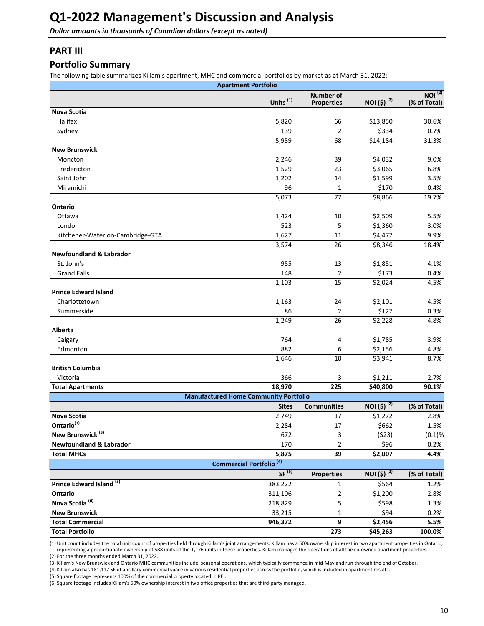<span id="page-9-0"></span>**Dollar amounts in thousands of Canadian dollars (except as noted)** 

## **PART III**

## **Portfolio Summary**

The following table summarizes Killam's apartment, MHC and commercial portfolios by market as at March 31, 2022:

| <b>Number of</b><br>Units <sup>(1)</sup><br>NOI (\$) <sup>(2)</sup><br>(% of Total)<br><b>Properties</b><br><b>Nova Scotia</b><br>Halifax<br>\$13,850<br>5,820<br>66 | NOI <sup>(2)</sup><br>30.6%<br>0.7% |
|----------------------------------------------------------------------------------------------------------------------------------------------------------------------|-------------------------------------|
|                                                                                                                                                                      |                                     |
|                                                                                                                                                                      |                                     |
|                                                                                                                                                                      |                                     |
| 139<br>2<br>\$334<br>Sydney                                                                                                                                          |                                     |
| 5,959<br>68<br>\$14,184<br>31.3%                                                                                                                                     |                                     |
| <b>New Brunswick</b>                                                                                                                                                 |                                     |
| 39<br>\$4,032<br>2,246<br>Moncton                                                                                                                                    | 9.0%                                |
| 1,529<br>23<br>\$3,065<br>Fredericton                                                                                                                                | 6.8%                                |
| 1,202<br>\$1,599<br>Saint John<br>14                                                                                                                                 | 3.5%                                |
| 96<br>\$170<br>Miramichi<br>1                                                                                                                                        | 0.4%                                |
| 5,073<br>77<br>\$8,866                                                                                                                                               | 19.7%                               |
| Ontario                                                                                                                                                              |                                     |
| \$2,509<br>Ottawa<br>1,424<br>10                                                                                                                                     | 5.5%                                |
| London<br>523<br>5<br>\$1,360                                                                                                                                        | 3.0%                                |
| 1,627<br>\$4,477<br>Kitchener-Waterloo-Cambridge-GTA<br>11                                                                                                           | 9.9%                                |
| 3,574<br>26<br>\$8,346                                                                                                                                               | 18.4%                               |
| <b>Newfoundland &amp; Labrador</b>                                                                                                                                   |                                     |
| St. John's<br>955<br>\$1,851<br>13                                                                                                                                   | 4.1%                                |
| <b>Grand Falls</b><br>148<br>2<br>\$173                                                                                                                              | 0.4%                                |
| 1,103<br>\$2,024<br>15                                                                                                                                               | 4.5%                                |
| <b>Prince Edward Island</b>                                                                                                                                          |                                     |
| \$2,101<br>Charlottetown<br>1,163<br>24                                                                                                                              | 4.5%                                |
| 86<br>$\overline{2}$<br>\$127<br>Summerside                                                                                                                          | 0.3%                                |
| 1,249<br>26<br>\$2,228                                                                                                                                               | 4.8%                                |
| Alberta                                                                                                                                                              |                                     |
| 764<br>\$1,785<br>Calgary<br>4                                                                                                                                       | 3.9%                                |
| 882<br>\$2,156<br>Edmonton<br>6                                                                                                                                      | 4.8%                                |
| 1,646<br>10<br>\$3,941                                                                                                                                               | 8.7%                                |
| <b>British Columbia</b>                                                                                                                                              |                                     |
| 366<br>3<br>\$1,211<br>Victoria                                                                                                                                      | 2.7%                                |
| 18,970<br>225<br>\$40,800<br><b>Total Apartments</b>                                                                                                                 | 90.1%                               |
| <b>Manufactured Home Community Portfolio</b>                                                                                                                         |                                     |
| NOI $(5)^{(2)}$<br>(% of Total)<br><b>Communities</b><br><b>Sites</b>                                                                                                |                                     |
| 2,749<br>\$1,272<br>Nova Scotia<br>17                                                                                                                                | 2.8%                                |
| Ontario <sup>(3)</sup><br>2,284<br>\$662<br>17                                                                                                                       | 1.5%                                |
| New Brunswick <sup>(3)</sup><br>672<br>(523)<br>3                                                                                                                    | (0.1)%                              |
| <b>Newfoundland &amp; Labrador</b><br>2<br>\$96<br>170                                                                                                               | 0.2%                                |
| 5,875<br>39<br>\$2,007<br><b>Total MHCs</b>                                                                                                                          | 4.4%                                |
| Commercial Portfolio <sup>(4)</sup>                                                                                                                                  |                                     |
| SF <sup>(5)</sup><br>NOI (\$) <sup>(2)</sup><br><b>Properties</b><br>(% of Total)                                                                                    |                                     |
| Prince Edward Island <sup>(5)</sup><br>383,222<br>$\mathbf 1$<br>\$564                                                                                               | 1.2%                                |
| Ontario<br>311,106<br>2<br>\$1,200                                                                                                                                   | 2.8%                                |
| Nova Scotia <sup>(6)</sup><br>5<br>218,829<br>\$598                                                                                                                  | 1.3%                                |
| <b>New Brunswick</b><br>\$94<br>33,215<br>$\mathbf{1}$                                                                                                               | 0.2%                                |
| <b>Total Commercial</b><br>9<br>946,372<br>\$2,456                                                                                                                   | 5.5%                                |
| <b>Total Portfolio</b><br>273<br>\$45,263<br>100.0%                                                                                                                  |                                     |

(1) Unit count includes the total unit count of properties held through Killam's joint arrangements. Killam has a 50% ownership interest in two apartment properties in Ontario, representing a proportionate ownership of 588 units of the 1,176 units in these properties. Killam manages the operations of all the co-owned apartment properties.

(2) For the three months ended March 31, 2022.

(3) Killam's New Brunswick and Ontario MHC communities include seasonal operations, which typically commence in mid-May and run through the end of October.

(4) Killam also has 181,117 SF of ancillary commercial space in various residential properties across the portfolio, which is included in apartment results.

(5) Square footage represents 100% of the commercial property located in PEI.

(6) Square footage includes Killam's 50% ownership interest in two office properties that are third-party managed.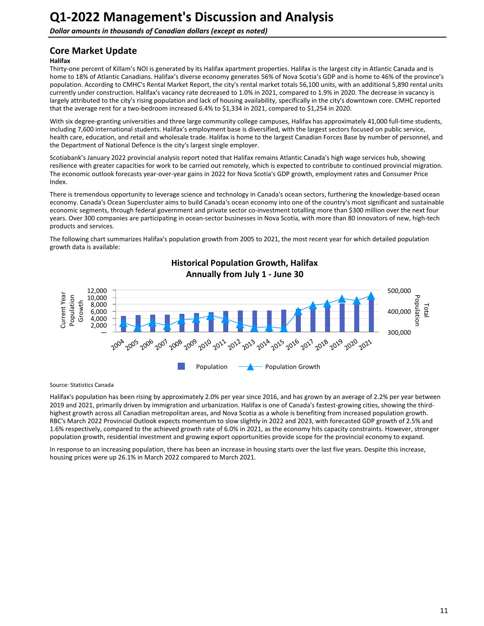**Dollar amounts in thousands of Canadian dollars (except as noted)** 

## **Core Market Update**

### **Halifax**

Thirty-one percent of Killam's NOI is generated by its Halifax apartment properties. Halifax is the largest city in Atlantic Canada and is home to 18% of Atlantic Canadians. Halifax's diverse economy generates 56% of Nova Scotia's GDP and is home to 46% of the province's population. According to CMHC's Rental Market Report, the city's rental market totals 56,100 units, with an additional 5,890 rental units currently under construction. Halifax's vacancy rate decreased to 1.0% in 2021, compared to 1.9% in 2020. The decrease in vacancy is largely attributed to the city's rising population and lack of housing availability, specifically in the city's downtown core. CMHC reported that the average rent for a two-bedroom increased 6.4% to \$1,334 in 2021, compared to \$1,254 in 2020.

With six degree-granting universities and three large community college campuses, Halifax has approximately 41,000 full-time students, including 7,600 international students. Halifax's employment base is diversified, with the largest sectors focused on public service, health care, education, and retail and wholesale trade. Halifax is home to the largest Canadian Forces Base by number of personnel, and the Department of National Defence is the city's largest single employer.

Scotiabank's January 2022 provincial analysis report noted that Halifax remains Atlantic Canada's high wage services hub, showing resilience with greater capacities for work to be carried out remotely, which is expected to contribute to continued provincial migration. The economic outlook forecasts year-over-year gains in 2022 for Nova Scotia's GDP growth, employment rates and Consumer Price Index. 

There is tremendous opportunity to leverage science and technology in Canada's ocean sectors, furthering the knowledge-based ocean economy. Canada's Ocean Supercluster aims to build Canada's ocean economy into one of the country's most significant and sustainable economic segments, through federal government and private sector co-investment totalling more than \$300 million over the next four years. Over 300 companies are participating in ocean-sector businesses in Nova Scotia, with more than 80 innovators of new, high-tech products and services.

The following chart summarizes Halifax's population growth from 2005 to 2021, the most recent year for which detailed population growth data is available:



## **Historical Population Growth, Halifax** Annually from July 1 - June 30

Source: Statistics Canada

Halifax's population has been rising by approximately 2.0% per year since 2016, and has grown by an average of 2.2% per year between 2019 and 2021, primarily driven by immigration and urbanization. Halifax is one of Canada's fastest-growing cities, showing the thirdhighest growth across all Canadian metropolitan areas, and Nova Scotia as a whole is benefiting from increased population growth. RBC's March 2022 Provincial Outlook expects momentum to slow slightly in 2022 and 2023, with forecasted GDP growth of 2.5% and 1.6% respectively, compared to the achieved growth rate of 6.0% in 2021, as the economy hits capacity constraints. However, stronger population growth, residential investment and growing export opportunities provide scope for the provincial economy to expand.

In response to an increasing population, there has been an increase in housing starts over the last five years. Despite this increase, housing prices were up 26.1% in March 2022 compared to March 2021.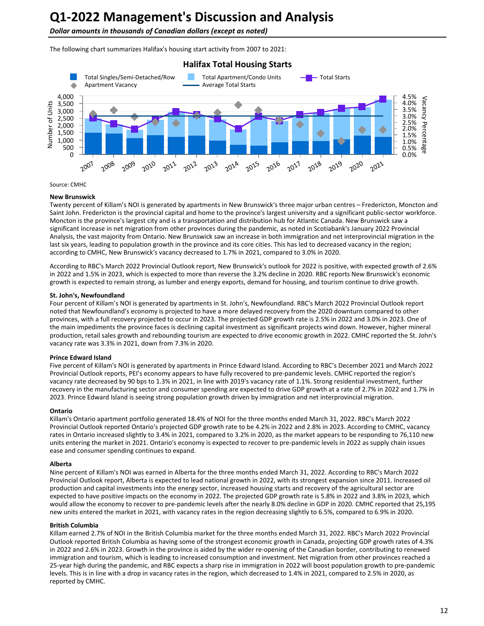**Dollar amounts in thousands of Canadian dollars (except as noted)** 

The following chart summarizes Halifax's housing start activity from 2007 to 2021:



#### Source: CMHC

#### **New Brunswick**

Twenty percent of Killam's NOI is generated by apartments in New Brunswick's three major urban centres – Fredericton, Moncton and Saint John. Fredericton is the provincial capital and home to the province's largest university and a significant public-sector workforce. Moncton is the province's largest city and is a transportation and distribution hub for Atlantic Canada. New Brunswick saw a significant increase in net migration from other provinces during the pandemic, as noted in Scotiabank's January 2022 Provincial Analysis, the vast majority from Ontario. New Brunswick saw an increase in both immigration and net interprovincial migration in the last six years, leading to population growth in the province and its core cities. This has led to decreased vacancy in the region; according to CMHC, New Brunswick's vacancy decreased to 1.7% in 2021, compared to 3.0% in 2020.

According to RBC's March 2022 Provincial Outlook report, New Brunswick's outlook for 2022 is positive, with expected growth of 2.6% in 2022 and 1.5% in 2023, which is expected to more than reverse the 3.2% decline in 2020. RBC reports New Brunswick's economic growth is expected to remain strong, as lumber and energy exports, demand for housing, and tourism continue to drive growth.

#### **St. John's, Newfoundland**

Four percent of Killam's NOI is generated by apartments in St. John's, Newfoundland. RBC's March 2022 Provincial Outlook report noted that Newfoundland's economy is projected to have a more delayed recovery from the 2020 downturn compared to other provinces, with a full recovery projected to occur in 2023. The projected GDP growth rate is 2.5% in 2022 and 3.0% in 2023. One of the main impediments the province faces is declining capital investment as significant projects wind down. However, higher mineral production, retail sales growth and rebounding tourism are expected to drive economic growth in 2022. CMHC reported the St. John's vacancy rate was 3.3% in 2021, down from 7.3% in 2020.

#### **Prince Edward Island**

Five percent of Killam's NOI is generated by apartments in Prince Edward Island. According to RBC's December 2021 and March 2022 Provincial Outlook reports, PEI's economy appears to have fully recovered to pre-pandemic levels. CMHC reported the region's vacancy rate decreased by 90 bps to 1.3% in 2021, in line with 2019's vacancy rate of 1.1%. Strong residential investment, further recovery in the manufacturing sector and consumer spending are expected to drive GDP growth at a rate of 2.7% in 2022 and 1.7% in 2023. Prince Edward Island is seeing strong population growth driven by immigration and net interprovincial migration.

#### **Ontario**

Killam's Ontario apartment portfolio generated 18.4% of NOI for the three months ended March 31, 2022. RBC's March 2022 Provincial Outlook reported Ontario's projected GDP growth rate to be 4.2% in 2022 and 2.8% in 2023. According to CMHC, vacancy rates in Ontario increased slightly to 3.4% in 2021, compared to 3.2% in 2020, as the market appears to be responding to 76,110 new units entering the market in 2021. Ontario's economy is expected to recover to pre-pandemic levels in 2022 as supply chain issues ease and consumer spending continues to expand.

#### **Alberta**

Nine percent of Killam's NOI was earned in Alberta for the three months ended March 31, 2022. According to RBC's March 2022 Provincial Outlook report, Alberta is expected to lead national growth in 2022, with its strongest expansion since 2011. Increased oil production and capital investments into the energy sector, increased housing starts and recovery of the agricultural sector are expected to have positive impacts on the economy in 2022. The projected GDP growth rate is 5.8% in 2022 and 3.8% in 2023, which would allow the economy to recover to pre-pandemic levels after the nearly 8.0% decline in GDP in 2020. CMHC reported that 25,195 new units entered the market in 2021, with vacancy rates in the region decreasing slightly to 6.5%, compared to 6.9% in 2020.

#### **British Columbia**

Killam earned 2.7% of NOI in the British Columbia market for the three months ended March 31, 2022. RBC's March 2022 Provincial Outlook reported British Columbia as having some of the strongest economic growth in Canada, projecting GDP growth rates of 4.3% in 2022 and 2.6% in 2023. Growth in the province is aided by the wider re-opening of the Canadian border, contributing to renewed immigration and tourism, which is leading to increased consumption and investment. Net migration from other provinces reached a 25-year high during the pandemic, and RBC expects a sharp rise in immigration in 2022 will boost population growth to pre-pandemic levels. This is in line with a drop in vacancy rates in the region, which decreased to 1.4% in 2021, compared to 2.5% in 2020, as reported by CMHC.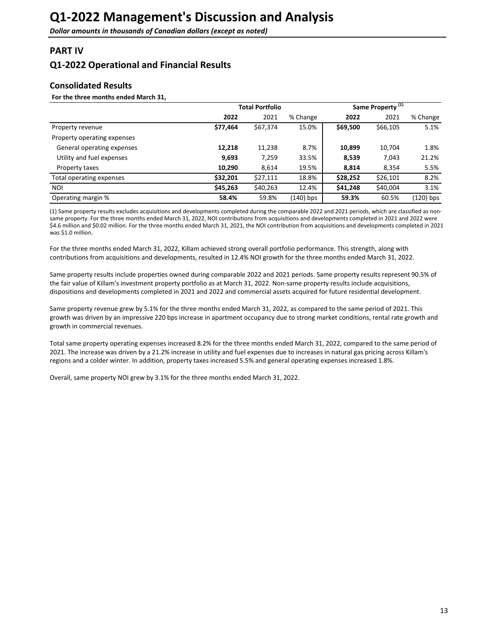## <span id="page-12-0"></span>**PART IV**

## **Q1-2022 Operational and Financial Results**

## **Consolidated Results**

#### For the three months ended March 31,

|                             | <b>Total Portfolio</b> |          |             |          | Same Property <sup>(1)</sup> |           |
|-----------------------------|------------------------|----------|-------------|----------|------------------------------|-----------|
|                             | 2022                   | 2021     | % Change    | 2022     | 2021                         | % Change  |
| Property revenue            | \$77,464               | \$67,374 | 15.0%       | \$69,500 | \$66,105                     | 5.1%      |
| Property operating expenses |                        |          |             |          |                              |           |
| General operating expenses  | 12,218                 | 11,238   | 8.7%        | 10,899   | 10,704                       | 1.8%      |
| Utility and fuel expenses   | 9,693                  | 7,259    | 33.5%       | 8,539    | 7,043                        | 21.2%     |
| Property taxes              | 10,290                 | 8,614    | 19.5%       | 8,814    | 8,354                        | 5.5%      |
| Total operating expenses    | \$32,201               | \$27,111 | 18.8%       | \$28,252 | \$26,101                     | 8.2%      |
| NOI                         | \$45,263               | \$40,263 | 12.4%       | \$41,248 | \$40,004                     | 3.1%      |
| Operating margin %          | 58.4%                  | 59.8%    | $(140)$ bps | 59.3%    | 60.5%                        | (120) bps |

(1) Same property results excludes acquisitions and developments completed during the comparable 2022 and 2021 periods, which are classified as nonsame property. For the three months ended March 31, 2022, NOI contributions from acquisitions and developments completed in 2021 and 2022 were \$4.6 million and \$0.02 million. For the three months ended March 31, 2021, the NOI contribution from acquisitions and developments completed in 2021 was \$1.0 million.

For the three months ended March 31, 2022, Killam achieved strong overall portfolio performance. This strength, along with contributions from acquisitions and developments, resulted in 12.4% NOI growth for the three months ended March 31, 2022.

Same property results include properties owned during comparable 2022 and 2021 periods. Same property results represent 90.5% of the fair value of Killam's investment property portfolio as at March 31, 2022. Non-same property results include acquisitions, dispositions and developments completed in 2021 and 2022 and commercial assets acquired for future residential development.

Same property revenue grew by 5.1% for the three months ended March 31, 2022, as compared to the same period of 2021. This growth was driven by an impressive 220 bps increase in apartment occupancy due to strong market conditions, rental rate growth and growth in commercial revenues.

Total same property operating expenses increased 8.2% for the three months ended March 31, 2022, compared to the same period of 2021. The increase was driven by a 21.2% increase in utility and fuel expenses due to increases in natural gas pricing across Killam's regions and a colder winter. In addition, property taxes increased 5.5% and general operating expenses increased 1.8%.

Overall, same property NOI grew by 3.1% for the three months ended March 31, 2022.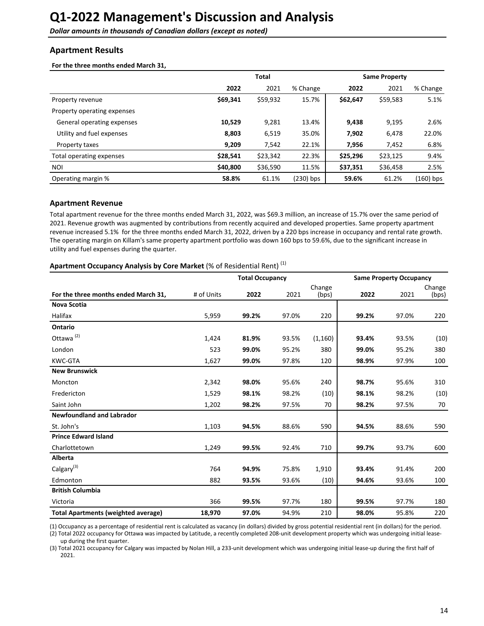<span id="page-13-0"></span>**Dollar amounts in thousands of Canadian dollars (except as noted)** 

### **Apartment Results**

For the three months ended March 31,

|                             | <b>Total</b> |          |           | <b>Same Property</b> |          |           |
|-----------------------------|--------------|----------|-----------|----------------------|----------|-----------|
|                             | 2022         | 2021     | % Change  | 2022                 | 2021     | % Change  |
| Property revenue            | \$69,341     | \$59,932 | 15.7%     | \$62,647             | \$59,583 | 5.1%      |
| Property operating expenses |              |          |           |                      |          |           |
| General operating expenses  | 10,529       | 9,281    | 13.4%     | 9,438                | 9,195    | 2.6%      |
| Utility and fuel expenses   | 8,803        | 6,519    | 35.0%     | 7,902                | 6,478    | 22.0%     |
| Property taxes              | 9,209        | 7,542    | 22.1%     | 7,956                | 7,452    | 6.8%      |
| Total operating expenses    | \$28,541     | \$23,342 | 22.3%     | \$25,296             | \$23,125 | 9.4%      |
| NOI                         | \$40,800     | \$36,590 | 11.5%     | \$37,351             | \$36,458 | 2.5%      |
| Operating margin %          | 58.8%        | 61.1%    | (230) bps | 59.6%                | 61.2%    | (160) bps |

#### **Apartment Revenue**

Total apartment revenue for the three months ended March 31, 2022, was \$69.3 million, an increase of 15.7% over the same period of 2021. Revenue growth was augmented by contributions from recently acquired and developed properties. Same property apartment revenue increased 5.1% for the three months ended March 31, 2022, driven by a 220 bps increase in occupancy and rental rate growth. The operating margin on Killam's same property apartment portfolio was down 160 bps to 59.6%, due to the significant increase in utility and fuel expenses during the quarter.

## Apartment Occupancy Analysis by Core Market (% of Residential Rent)<sup>(1)</sup>

|                                            |            | <b>Total Occupancy</b> |       | <b>Same Property Occupancy</b> |       |       |                 |
|--------------------------------------------|------------|------------------------|-------|--------------------------------|-------|-------|-----------------|
| For the three months ended March 31,       | # of Units | 2022                   | 2021  | Change<br>(bps)                | 2022  | 2021  | Change<br>(bps) |
| <b>Nova Scotia</b>                         |            |                        |       |                                |       |       |                 |
| Halifax                                    | 5,959      | 99.2%                  | 97.0% | 220                            | 99.2% | 97.0% | 220             |
| Ontario                                    |            |                        |       |                                |       |       |                 |
| Ottawa <sup>(2)</sup>                      | 1,424      | 81.9%                  | 93.5% | (1, 160)                       | 93.4% | 93.5% | (10)            |
| London                                     | 523        | 99.0%                  | 95.2% | 380                            | 99.0% | 95.2% | 380             |
| <b>KWC-GTA</b>                             | 1,627      | 99.0%                  | 97.8% | 120                            | 98.9% | 97.9% | 100             |
| <b>New Brunswick</b>                       |            |                        |       |                                |       |       |                 |
| Moncton                                    | 2,342      | 98.0%                  | 95.6% | 240                            | 98.7% | 95.6% | 310             |
| Fredericton                                | 1,529      | 98.1%                  | 98.2% | (10)                           | 98.1% | 98.2% | (10)            |
| Saint John                                 | 1,202      | 98.2%                  | 97.5% | 70                             | 98.2% | 97.5% | 70              |
| <b>Newfoundland and Labrador</b>           |            |                        |       |                                |       |       |                 |
| St. John's                                 | 1,103      | 94.5%                  | 88.6% | 590                            | 94.5% | 88.6% | 590             |
| <b>Prince Edward Island</b>                |            |                        |       |                                |       |       |                 |
| Charlottetown                              | 1,249      | 99.5%                  | 92.4% | 710                            | 99.7% | 93.7% | 600             |
| Alberta                                    |            |                        |       |                                |       |       |                 |
| Calgary <sup>(3)</sup>                     | 764        | 94.9%                  | 75.8% | 1,910                          | 93.4% | 91.4% | 200             |
| Edmonton                                   | 882        | 93.5%                  | 93.6% | (10)                           | 94.6% | 93.6% | 100             |
| <b>British Columbia</b>                    |            |                        |       |                                |       |       |                 |
| Victoria                                   | 366        | 99.5%                  | 97.7% | 180                            | 99.5% | 97.7% | 180             |
| <b>Total Apartments (weighted average)</b> | 18,970     | 97.0%                  | 94.9% | 210                            | 98.0% | 95.8% | 220             |

(1) Occupancy as a percentage of residential rent is calculated as vacancy (in dollars) divided by gross potential residential rent (in dollars) for the period.

(2) Total 2022 occupancy for Ottawa was impacted by Latitude, a recently completed 208-unit development property which was undergoing initial leaseup during the first quarter.

(3) Total 2021 occupancy for Calgary was impacted by Nolan Hill, a 233-unit development which was undergoing initial lease-up during the first half of 2021.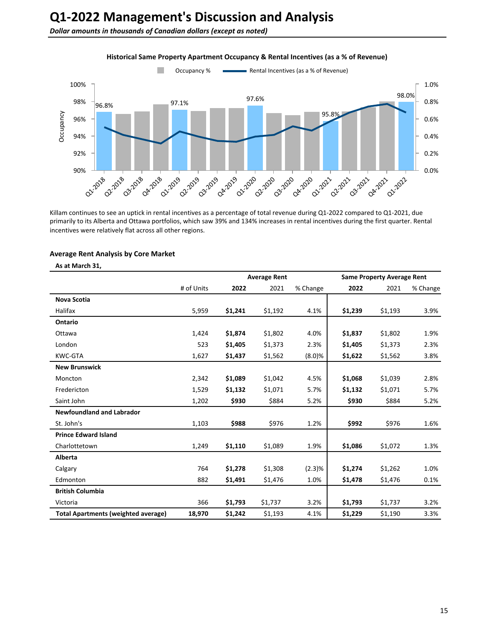**Dollar amounts in thousands of Canadian dollars (except as noted)** 



### **Historical Same Property Apartment Occupancy & Rental Incentives (as a % of Revenue)**

Killam continues to see an uptick in rental incentives as a percentage of total revenue during Q1-2022 compared to Q1-2021, due primarily to its Alberta and Ottawa portfolios, which saw 39% and 134% increases in rental incentives during the first quarter. Rental incentives were relatively flat across all other regions.

#### **Average Rent Analysis by Core Market**

#### As at March 31,

|                                            | <b>Average Rent</b> |         |         |          |         | <b>Same Property Average Rent</b> |          |
|--------------------------------------------|---------------------|---------|---------|----------|---------|-----------------------------------|----------|
|                                            | # of Units          | 2022    | 2021    | % Change | 2022    | 2021                              | % Change |
| Nova Scotia                                |                     |         |         |          |         |                                   |          |
| Halifax                                    | 5,959               | \$1,241 | \$1,192 | 4.1%     | \$1,239 | \$1,193                           | 3.9%     |
| Ontario                                    |                     |         |         |          |         |                                   |          |
| Ottawa                                     | 1,424               | \$1,874 | \$1,802 | 4.0%     | \$1,837 | \$1,802                           | 1.9%     |
| London                                     | 523                 | \$1,405 | \$1,373 | 2.3%     | \$1,405 | \$1,373                           | 2.3%     |
| <b>KWC-GTA</b>                             | 1,627               | \$1,437 | \$1,562 | (8.0)%   | \$1,622 | \$1,562                           | 3.8%     |
| <b>New Brunswick</b>                       |                     |         |         |          |         |                                   |          |
| Moncton                                    | 2,342               | \$1,089 | \$1,042 | 4.5%     | \$1,068 | \$1,039                           | 2.8%     |
| Fredericton                                | 1,529               | \$1,132 | \$1,071 | 5.7%     | \$1,132 | \$1,071                           | 5.7%     |
| Saint John                                 | 1,202               | \$930   | \$884   | 5.2%     | \$930   | \$884                             | 5.2%     |
| <b>Newfoundland and Labrador</b>           |                     |         |         |          |         |                                   |          |
| St. John's                                 | 1,103               | \$988   | \$976   | 1.2%     | \$992   | \$976                             | 1.6%     |
| <b>Prince Edward Island</b>                |                     |         |         |          |         |                                   |          |
| Charlottetown                              | 1,249               | \$1,110 | \$1,089 | 1.9%     | \$1,086 | \$1,072                           | 1.3%     |
| Alberta                                    |                     |         |         |          |         |                                   |          |
| Calgary                                    | 764                 | \$1,278 | \$1,308 | (2.3)%   | \$1,274 | \$1,262                           | 1.0%     |
| Edmonton                                   | 882                 | \$1,491 | \$1,476 | 1.0%     | \$1,478 | \$1,476                           | 0.1%     |
| <b>British Columbia</b>                    |                     |         |         |          |         |                                   |          |
| Victoria                                   | 366                 | \$1,793 | \$1,737 | 3.2%     | \$1,793 | \$1,737                           | 3.2%     |
| <b>Total Apartments (weighted average)</b> | 18,970              | \$1,242 | \$1,193 | 4.1%     | \$1,229 | \$1,190                           | 3.3%     |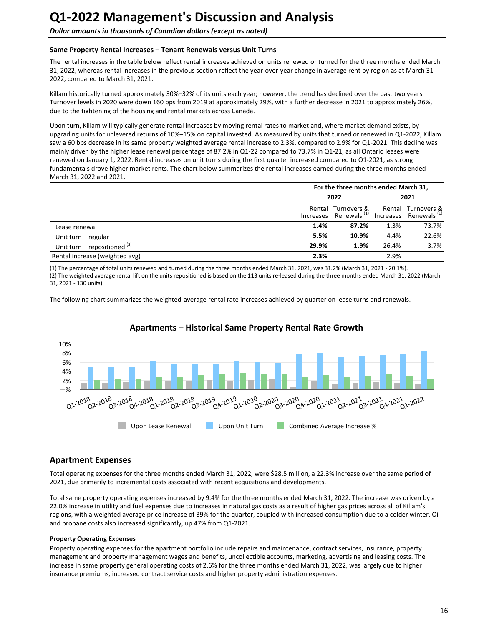#### Same Property Rental Increases – Tenant Renewals versus Unit Turns

The rental increases in the table below reflect rental increases achieved on units renewed or turned for the three months ended March 31, 2022, whereas rental increases in the previous section reflect the year-over-year change in average rent by region as at March 31 2022, compared to March 31, 2021.

Killam historically turned approximately 30%–32% of its units each year; however, the trend has declined over the past two years. Turnover levels in 2020 were down 160 bps from 2019 at approximately 29%, with a further decrease in 2021 to approximately 26%, due to the tightening of the housing and rental markets across Canada.

Upon turn, Killam will typically generate rental increases by moving rental rates to market and, where market demand exists, by upgrading units for unlevered returns of 10%–15% on capital invested. As measured by units that turned or renewed in Q1-2022, Killam saw a 60 bps decrease in its same property weighted average rental increase to 2.3%, compared to 2.9% for Q1-2021. This decline was mainly driven by the higher lease renewal percentage of 87.2% in Q1-22 compared to 73.7% in Q1-21, as all Ontario leases were renewed on January 1, 2022. Rental increases on unit turns during the first quarter increased compared to Q1-2021, as strong fundamentals drove higher market rents. The chart below summarizes the rental increases earned during the three months ended March 31, 2022 and 2021.

|                                |        | For the three months ended March 31,             |       |                                                         |  |
|--------------------------------|--------|--------------------------------------------------|-------|---------------------------------------------------------|--|
|                                | 2022   |                                                  | 2021  |                                                         |  |
|                                | Rental | Turnovers &<br>Increases Renewals <sup>(1)</sup> |       | Rental Turnovers &<br>Increases Renewals <sup>(1)</sup> |  |
| Lease renewal                  | 1.4%   | 87.2%                                            | 1.3%  | 73.7%                                                   |  |
| Unit turn – regular            | 5.5%   | 10.9%                                            | 4.4%  | 22.6%                                                   |  |
| Unit turn – repositioned $(2)$ | 29.9%  | 1.9%                                             | 26.4% | 3.7%                                                    |  |
| Rental increase (weighted avg) | 2.3%   |                                                  | 2.9%  |                                                         |  |

(1) The percentage of total units renewed and turned during the three months ended March 31, 2021, was 31.2% (March 31, 2021 - 20.1%). (2) The weighted average rental lift on the units repositioned is based on the 113 units re-leased during the three months ended March 31, 2022 (March 31, 2021 - 130 units).

The following chart summarizes the weighted-average rental rate increases achieved by quarter on lease turns and renewals.



## Apartments – Historical Same Property Rental Rate Growth

## **Apartment Expenses**

Total operating expenses for the three months ended March 31, 2022, were \$28.5 million, a 22.3% increase over the same period of 2021, due primarily to incremental costs associated with recent acquisitions and developments.

Total same property operating expenses increased by 9.4% for the three months ended March 31, 2022. The increase was driven by a 22.0% increase in utility and fuel expenses due to increases in natural gas costs as a result of higher gas prices across all of Killam's regions, with a weighted average price increase of 39% for the quarter, coupled with increased consumption due to a colder winter. Oil and propane costs also increased significantly, up 47% from Q1-2021.

#### **Property Operating Expenses**

Property operating expenses for the apartment portfolio include repairs and maintenance, contract services, insurance, property management and property management wages and benefits, uncollectible accounts, marketing, advertising and leasing costs. The increase in same property general operating costs of 2.6% for the three months ended March 31, 2022, was largely due to higher insurance premiums, increased contract service costs and higher property administration expenses.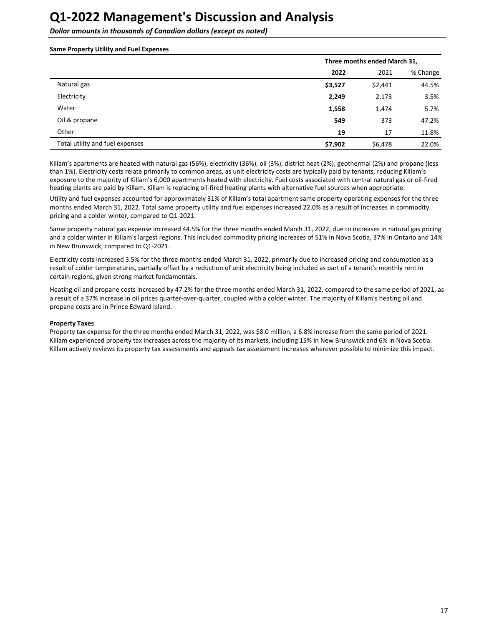**Dollar amounts in thousands of Canadian dollars (except as noted)** 

#### **Same Property Utility and Fuel Expenses**

|                                 |         | Three months ended March 31, |          |  |  |  |
|---------------------------------|---------|------------------------------|----------|--|--|--|
|                                 | 2022    | 2021                         | % Change |  |  |  |
| Natural gas                     | \$3,527 | \$2,441                      | 44.5%    |  |  |  |
| Electricity                     | 2,249   | 2,173                        | 3.5%     |  |  |  |
| Water                           | 1,558   | 1,474                        | 5.7%     |  |  |  |
| Oil & propane                   | 549     | 373                          | 47.2%    |  |  |  |
| Other                           | 19      | 17                           | 11.8%    |  |  |  |
| Total utility and fuel expenses | \$7,902 | \$6,478                      | 22.0%    |  |  |  |

Killam's apartments are heated with natural gas (56%), electricity (36%), oil (3%), district heat (2%), geothermal (2%) and propane (less than 1%). Electricity costs relate primarily to common areas, as unit electricity costs are typically paid by tenants, reducing Killam's exposure to the majority of Killam's 6,000 apartments heated with electricity. Fuel costs associated with central natural gas or oil-fired heating plants are paid by Killam. Killam is replacing oil-fired heating plants with alternative fuel sources when appropriate.

Utility and fuel expenses accounted for approximately 31% of Killam's total apartment same property operating expenses for the three months ended March 31, 2022. Total same property utility and fuel expenses increased 22.0% as a result of increases in commodity pricing and a colder winter, compared to Q1-2021.

Same property natural gas expense increased 44.5% for the three months ended March 31, 2022, due to increases in natural gas pricing and a colder winter in Killam's largest regions. This included commodity pricing increases of 51% in Nova Scotia, 37% in Ontario and 14% in New Brunswick, compared to Q1-2021.

Electricity costs increased 3.5% for the three months ended March 31, 2022, primarily due to increased pricing and consumption as a result of colder temperatures, partially offset by a reduction of unit electricity being included as part of a tenant's monthly rent in certain regions, given strong market fundamentals.

Heating oil and propane costs increased by 47.2% for the three months ended March 31, 2022, compared to the same period of 2021, as a result of a 37% increase in oil prices quarter-over-quarter, coupled with a colder winter. The majority of Killam's heating oil and propane costs are in Prince Edward Island.

#### **Property Taxes**

Property tax expense for the three months ended March 31, 2022, was \$8.0 million, a 6.8% increase from the same period of 2021. Killam experienced property tax increases across the majority of its markets, including 15% in New Brunswick and 6% in Nova Scotia. Killam actively reviews its property tax assessments and appeals tax assessment increases wherever possible to minimize this impact.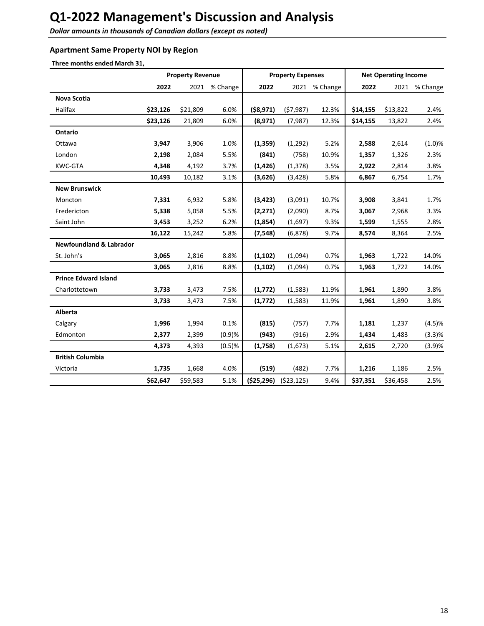**Dollar amounts in thousands of Canadian dollars (except as noted)** 

## **Apartment Same Property NOI by Region**

Three months ended March 31,

|                                    |          | <b>Property Revenue</b> |          |              | <b>Property Expenses</b> |               |          | <b>Net Operating Income</b> |          |
|------------------------------------|----------|-------------------------|----------|--------------|--------------------------|---------------|----------|-----------------------------|----------|
|                                    | 2022     | 2021                    | % Change | 2022         |                          | 2021 % Change | 2022     | 2021                        | % Change |
| <b>Nova Scotia</b>                 |          |                         |          |              |                          |               |          |                             |          |
| Halifax                            | \$23,126 | \$21,809                | 6.0%     | ( \$8,971)   | (57, 987)                | 12.3%         | \$14,155 | \$13,822                    | 2.4%     |
|                                    | \$23,126 | 21,809                  | 6.0%     | (8,971)      | (7,987)                  | 12.3%         | \$14,155 | 13,822                      | 2.4%     |
| <b>Ontario</b>                     |          |                         |          |              |                          |               |          |                             |          |
| Ottawa                             | 3,947    | 3,906                   | 1.0%     | (1, 359)     | (1, 292)                 | 5.2%          | 2,588    | 2,614                       | (1.0)%   |
| London                             | 2,198    | 2,084                   | 5.5%     | (841)        | (758)                    | 10.9%         | 1,357    | 1,326                       | 2.3%     |
| KWC-GTA                            | 4,348    | 4,192                   | 3.7%     | (1, 426)     | (1, 378)                 | 3.5%          | 2,922    | 2,814                       | 3.8%     |
|                                    | 10,493   | 10,182                  | 3.1%     | (3,626)      | (3, 428)                 | 5.8%          | 6,867    | 6,754                       | 1.7%     |
| <b>New Brunswick</b>               |          |                         |          |              |                          |               |          |                             |          |
| Moncton                            | 7,331    | 6,932                   | 5.8%     | (3, 423)     | (3,091)                  | 10.7%         | 3,908    | 3,841                       | 1.7%     |
| Fredericton                        | 5,338    | 5,058                   | 5.5%     | (2, 271)     | (2,090)                  | 8.7%          | 3,067    | 2,968                       | 3.3%     |
| Saint John                         | 3,453    | 3,252                   | 6.2%     | (1,854)      | (1,697)                  | 9.3%          | 1,599    | 1,555                       | 2.8%     |
|                                    | 16,122   | 15,242                  | 5.8%     | (7, 548)     | (6, 878)                 | 9.7%          | 8,574    | 8,364                       | 2.5%     |
| <b>Newfoundland &amp; Labrador</b> |          |                         |          |              |                          |               |          |                             |          |
| St. John's                         | 3,065    | 2,816                   | 8.8%     | (1, 102)     | (1,094)                  | 0.7%          | 1,963    | 1,722                       | 14.0%    |
|                                    | 3,065    | 2,816                   | 8.8%     | (1, 102)     | (1,094)                  | 0.7%          | 1,963    | 1,722                       | 14.0%    |
| <b>Prince Edward Island</b>        |          |                         |          |              |                          |               |          |                             |          |
| Charlottetown                      | 3,733    | 3,473                   | 7.5%     | (1,772)      | (1,583)                  | 11.9%         | 1,961    | 1,890                       | 3.8%     |
|                                    | 3,733    | 3,473                   | 7.5%     | (1, 772)     | (1,583)                  | 11.9%         | 1,961    | 1,890                       | 3.8%     |
| <b>Alberta</b>                     |          |                         |          |              |                          |               |          |                             |          |
| Calgary                            | 1,996    | 1,994                   | 0.1%     | (815)        | (757)                    | 7.7%          | 1,181    | 1,237                       | (4.5)%   |
| Edmonton                           | 2,377    | 2,399                   | (0.9)%   | (943)        | (916)                    | 2.9%          | 1,434    | 1,483                       | (3.3)%   |
|                                    | 4,373    | 4,393                   | (0.5)%   | (1,758)      | (1,673)                  | 5.1%          | 2,615    | 2,720                       | (3.9)%   |
| <b>British Columbia</b>            |          |                         |          |              |                          |               |          |                             |          |
| Victoria                           | 1,735    | 1,668                   | 4.0%     | (519)        | (482)                    | 7.7%          | 1,216    | 1,186                       | 2.5%     |
|                                    | \$62,647 | \$59,583                | 5.1%     | ( \$25, 296) | (523, 125)               | 9.4%          | \$37,351 | \$36,458                    | 2.5%     |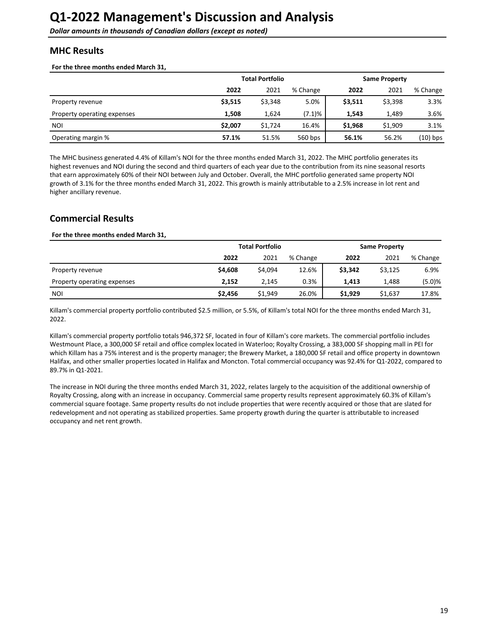## <span id="page-18-0"></span>**MHC Results**

For the three months ended March 31,

|                             | <b>Total Portfolio</b> |         |          | <b>Same Property</b> |         |            |  |
|-----------------------------|------------------------|---------|----------|----------------------|---------|------------|--|
|                             | 2022                   | 2021    | % Change | 2022                 | 2021    | % Change   |  |
| Property revenue            | \$3,515                | \$3,348 | 5.0%     | \$3,511              | \$3,398 | 3.3%       |  |
| Property operating expenses | 1,508                  | 1,624   | (7.1)%   | 1.543                | 1.489   | 3.6%       |  |
| <b>NOI</b>                  | \$2,007                | \$1.724 | 16.4%    | \$1,968              | \$1,909 | 3.1%       |  |
| Operating margin %          | 57.1%                  | 51.5%   | 560 bps  | 56.1%                | 56.2%   | $(10)$ bps |  |

The MHC business generated 4.4% of Killam's NOI for the three months ended March 31, 2022. The MHC portfolio generates its highest revenues and NOI during the second and third quarters of each year due to the contribution from its nine seasonal resorts that earn approximately 60% of their NOI between July and October. Overall, the MHC portfolio generated same property NOI growth of 3.1% for the three months ended March 31, 2022. This growth is mainly attributable to a 2.5% increase in lot rent and higher ancillary revenue.

## **Commercial Results**

#### For the three months ended March 31,

|                             | <b>Total Portfolio</b> |         |          | <b>Same Property</b> |         |          |  |
|-----------------------------|------------------------|---------|----------|----------------------|---------|----------|--|
|                             | 2022                   | 2021    | % Change | 2022                 | 2021    | % Change |  |
| Property revenue            | \$4,608                | \$4,094 | 12.6%    | \$3,342              | \$3,125 | 6.9%     |  |
| Property operating expenses | 2.152                  | 2.145   | 0.3%     | 1.413                | 1.488   | (5.0)%   |  |
| <b>NOI</b>                  | \$2,456                | \$1,949 | 26.0%    | \$1,929              | \$1,637 | 17.8%    |  |

Killam's commercial property portfolio contributed \$2.5 million, or 5.5%, of Killam's total NOI for the three months ended March 31, 2022. 

Killam's commercial property portfolio totals 946,372 SF, located in four of Killam's core markets. The commercial portfolio includes Westmount Place, a 300,000 SF retail and office complex located in Waterloo; Royalty Crossing, a 383,000 SF shopping mall in PEI for which Killam has a 75% interest and is the property manager; the Brewery Market, a 180,000 SF retail and office property in downtown Halifax, and other smaller properties located in Halifax and Moncton. Total commercial occupancy was 92.4% for Q1-2022, compared to 89.7% in Q1-2021.

The increase in NOI during the three months ended March 31, 2022, relates largely to the acquisition of the additional ownership of Royalty Crossing, along with an increase in occupancy. Commercial same property results represent approximately 60.3% of Killam's commercial square footage. Same property results do not include properties that were recently acquired or those that are slated for redevelopment and not operating as stabilized properties. Same property growth during the quarter is attributable to increased occupancy and net rent growth.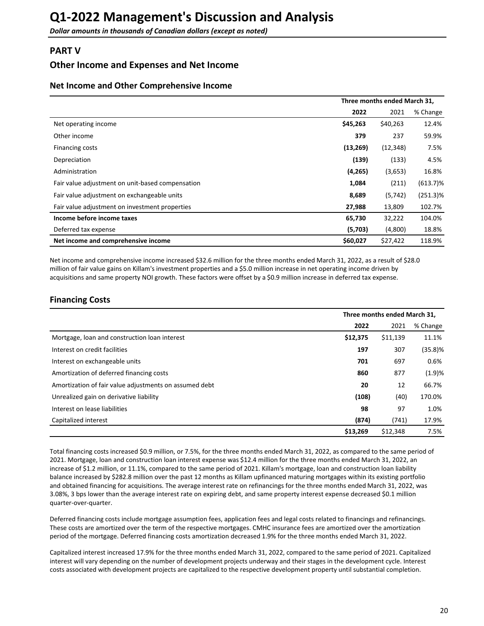## <span id="page-19-0"></span>**PART V**

## **Other Income and Expenses and Net Income**

### **Net Income and Other Comprehensive Income**

|                                                  | Three months ended March 31, |           |             |  |
|--------------------------------------------------|------------------------------|-----------|-------------|--|
|                                                  | 2022                         | 2021      | % Change    |  |
| Net operating income                             | \$45,263                     | \$40,263  | 12.4%       |  |
| Other income                                     | 379                          | 237       | 59.9%       |  |
| Financing costs                                  | (13, 269)                    | (12, 348) | 7.5%        |  |
| Depreciation                                     | (139)                        | (133)     | 4.5%        |  |
| Administration                                   | (4, 265)                     | (3,653)   | 16.8%       |  |
| Fair value adjustment on unit-based compensation | 1,084                        | (211)     | $(613.7)\%$ |  |
| Fair value adjustment on exchangeable units      | 8,689                        | (5,742)   | $(251.3)\%$ |  |
| Fair value adjustment on investment properties   | 27,988                       | 13,809    | 102.7%      |  |
| Income before income taxes                       | 65,730                       | 32,222    | 104.0%      |  |
| Deferred tax expense                             | (5,703)                      | (4,800)   | 18.8%       |  |
| Net income and comprehensive income              | \$60,027                     | \$27,422  | 118.9%      |  |

Net income and comprehensive income increased \$32.6 million for the three months ended March 31, 2022, as a result of \$28.0 million of fair value gains on Killam's investment properties and a \$5.0 million increase in net operating income driven by acquisitions and same property NOI growth. These factors were offset by a \$0.9 million increase in deferred tax expense.

## **Financing Costs**

|                                                        | Three months ended March 31, |          |            |  |
|--------------------------------------------------------|------------------------------|----------|------------|--|
|                                                        | 2022                         | 2021     | % Change   |  |
| Mortgage, loan and construction loan interest          | \$12,375                     | \$11,139 | 11.1%      |  |
| Interest on credit facilities                          | 197                          | 307      | $(35.8)$ % |  |
| Interest on exchangeable units                         | 701                          | 697      | 0.6%       |  |
| Amortization of deferred financing costs               | 860                          | 877      | (1.9)%     |  |
| Amortization of fair value adjustments on assumed debt | 20                           | 12       | 66.7%      |  |
| Unrealized gain on derivative liability                | (108)                        | (40)     | 170.0%     |  |
| Interest on lease liabilities                          | 98                           | 97       | 1.0%       |  |
| Capitalized interest                                   | (874)                        | (741)    | 17.9%      |  |
|                                                        | \$13,269                     | \$12,348 | 7.5%       |  |

Total financing costs increased \$0.9 million, or 7.5%, for the three months ended March 31, 2022, as compared to the same period of 2021. Mortgage, loan and construction loan interest expense was \$12.4 million for the three months ended March 31, 2022, an increase of \$1.2 million, or 11.1%, compared to the same period of 2021. Killam's mortgage, loan and construction loan liability balance increased by \$282.8 million over the past 12 months as Killam upfinanced maturing mortgages within its existing portfolio and obtained financing for acquisitions. The average interest rate on refinancings for the three months ended March 31, 2022, was 3.08%, 3 bps lower than the average interest rate on expiring debt, and same property interest expense decreased \$0.1 million quarter-over-quarter.

Deferred financing costs include mortgage assumption fees, application fees and legal costs related to financings and refinancings. These costs are amortized over the term of the respective mortgages. CMHC insurance fees are amortized over the amortization period of the mortgage. Deferred financing costs amortization decreased 1.9% for the three months ended March 31, 2022.

Capitalized interest increased 17.9% for the three months ended March 31, 2022, compared to the same period of 2021. Capitalized interest will vary depending on the number of development projects underway and their stages in the development cycle. Interest costs associated with development projects are capitalized to the respective development property until substantial completion.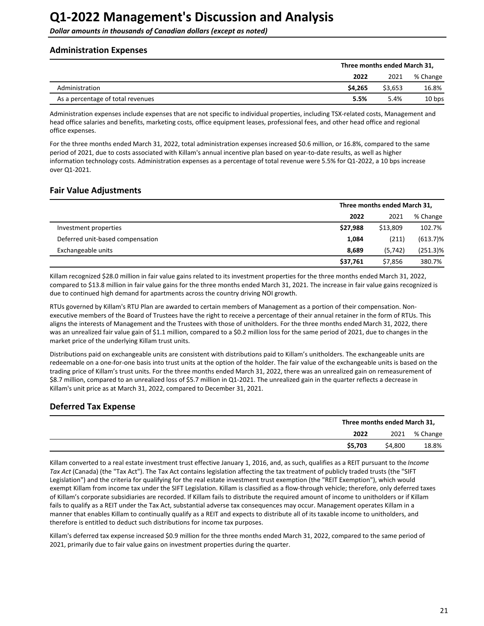<span id="page-20-0"></span>**Dollar amounts in thousands of Canadian dollars (except as noted)** 

### **Administration Expenses**

|                                   |         | Three months ended March 31, |          |  |  |
|-----------------------------------|---------|------------------------------|----------|--|--|
|                                   | 2022    | 2021                         | % Change |  |  |
| Administration                    | \$4.265 | \$3,653                      | 16.8%    |  |  |
| As a percentage of total revenues | 5.5%    | 5.4%                         | 10 bps   |  |  |

Administration expenses include expenses that are not specific to individual properties, including TSX-related costs, Management and head office salaries and benefits, marketing costs, office equipment leases, professional fees, and other head office and regional office expenses.

For the three months ended March 31, 2022, total administration expenses increased \$0.6 million, or 16.8%, compared to the same period of 2021, due to costs associated with Killam's annual incentive plan based on year-to-date results, as well as higher information technology costs. Administration expenses as a percentage of total revenue were 5.5% for Q1-2022, a 10 bps increase over Q1-2021. 

### **Fair Value Adjustments**

|                                  | Three months ended March 31, |          |             |
|----------------------------------|------------------------------|----------|-------------|
|                                  | 2022                         | 2021     | % Change    |
| Investment properties            | \$27,988                     | \$13,809 | 102.7%      |
| Deferred unit-based compensation | 1,084                        | (211)    | $(613.7)\%$ |
| Exchangeable units               | 8,689                        | (5,742)  | $(251.3)\%$ |
|                                  | \$37,761                     | \$7,856  | 380.7%      |

Killam recognized \$28.0 million in fair value gains related to its investment properties for the three months ended March 31, 2022, compared to \$13.8 million in fair value gains for the three months ended March 31, 2021. The increase in fair value gains recognized is due to continued high demand for apartments across the country driving NOI growth.

RTUs governed by Killam's RTU Plan are awarded to certain members of Management as a portion of their compensation. Nonexecutive members of the Board of Trustees have the right to receive a percentage of their annual retainer in the form of RTUs. This aligns the interests of Management and the Trustees with those of unitholders. For the three months ended March 31, 2022, there was an unrealized fair value gain of \$1.1 million, compared to a \$0.2 million loss for the same period of 2021, due to changes in the market price of the underlying Killam trust units.

Distributions paid on exchangeable units are consistent with distributions paid to Killam's unitholders. The exchangeable units are redeemable on a one-for-one basis into trust units at the option of the holder. The fair value of the exchangeable units is based on the trading price of Killam's trust units. For the three months ended March 31, 2022, there was an unrealized gain on remeasurement of \$8.7 million, compared to an unrealized loss of \$5.7 million in Q1-2021. The unrealized gain in the quarter reflects a decrease in Killam's unit price as at March 31, 2022, compared to December 31, 2021.

## **Deferred Tax Expense**

|                    | Three months ended March 31, |  |  |
|--------------------|------------------------------|--|--|
| 2022               | 2021 % Change                |  |  |
| \$5,703<br>\$4,800 | 18.8%                        |  |  |

Killam converted to a real estate investment trust effective January 1, 2016, and, as such, qualifies as a REIT pursuant to the *Income* Tax Act (Canada) (the "Tax Act"). The Tax Act contains legislation affecting the tax treatment of publicly traded trusts (the "SIFT Legislation") and the criteria for qualifying for the real estate investment trust exemption (the "REIT Exemption"), which would exempt Killam from income tax under the SIFT Legislation. Killam is classified as a flow-through vehicle: therefore, only deferred taxes of Killam's corporate subsidiaries are recorded. If Killam fails to distribute the required amount of income to unitholders or if Killam fails to qualify as a REIT under the Tax Act, substantial adverse tax consequences may occur. Management operates Killam in a manner that enables Killam to continually qualify as a REIT and expects to distribute all of its taxable income to unitholders, and therefore is entitled to deduct such distributions for income tax purposes.

Killam's deferred tax expense increased \$0.9 million for the three months ended March 31, 2022, compared to the same period of 2021, primarily due to fair value gains on investment properties during the quarter.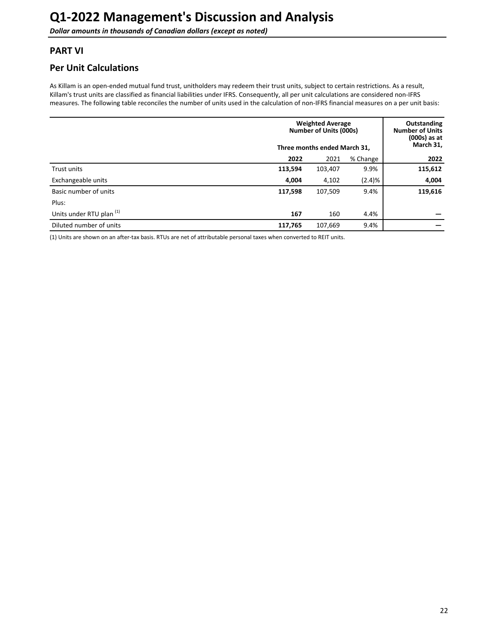## <span id="page-21-0"></span>**PART VI**

## **Per Unit Calculations**

As Killam is an open-ended mutual fund trust, unitholders may redeem their trust units, subject to certain restrictions. As a result, Killam's trust units are classified as financial liabilities under IFRS. Consequently, all per unit calculations are considered non-IFRS measures. The following table reconciles the number of units used in the calculation of non-IFRS financial measures on a per unit basis:

|                                     | <b>Weighted Average</b><br>Number of Units (000s)<br>Three months ended March 31, |         |        | <b>Outstanding</b><br><b>Number of Units</b><br>$(000s)$ as at<br>March 31, |
|-------------------------------------|-----------------------------------------------------------------------------------|---------|--------|-----------------------------------------------------------------------------|
|                                     | 2022                                                                              | 2022    |        |                                                                             |
| Trust units                         | 113,594                                                                           | 103,407 | 9.9%   | 115,612                                                                     |
| Exchangeable units                  | 4,004                                                                             | 4,102   | (2.4)% | 4,004                                                                       |
| Basic number of units               | 117,598                                                                           | 107,509 | 9.4%   | 119,616                                                                     |
| Plus:                               |                                                                                   |         |        |                                                                             |
| Units under RTU plan <sup>(1)</sup> | 167                                                                               | 160     | 4.4%   |                                                                             |
| Diluted number of units             | 117,765                                                                           | 107,669 | 9.4%   |                                                                             |

(1) Units are shown on an after-tax basis. RTUs are net of attributable personal taxes when converted to REIT units.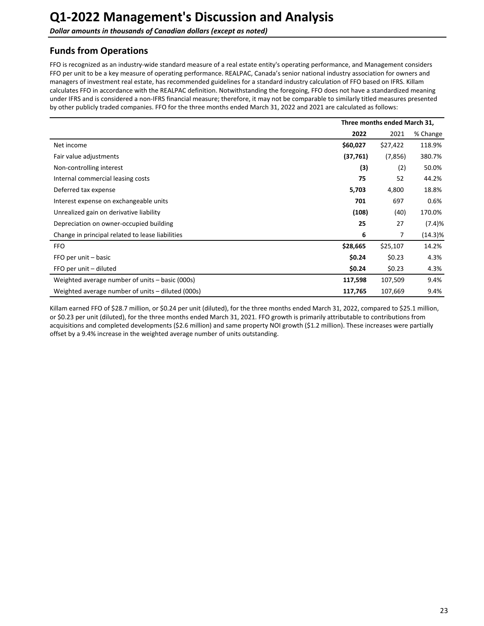<span id="page-22-0"></span>**Dollar amounts in thousands of Canadian dollars (except as noted)** 

## **Funds from Operations**

FFO is recognized as an industry-wide standard measure of a real estate entity's operating performance, and Management considers FFO per unit to be a key measure of operating performance. REALPAC, Canada's senior national industry association for owners and managers of investment real estate, has recommended guidelines for a standard industry calculation of FFO based on IFRS. Killam calculates FFO in accordance with the REALPAC definition. Notwithstanding the foregoing, FFO does not have a standardized meaning under IFRS and is considered a non-IFRS financial measure; therefore, it may not be comparable to similarly titled measures presented by other publicly traded companies. FFO for the three months ended March 31, 2022 and 2021 are calculated as follows:

|                                                   | Three months ended March 31, |          |            |
|---------------------------------------------------|------------------------------|----------|------------|
|                                                   | 2022                         | 2021     | % Change   |
| Net income                                        | \$60,027                     | \$27,422 | 118.9%     |
| Fair value adjustments                            | (37,761)                     | (7, 856) | 380.7%     |
| Non-controlling interest                          | (3)                          | (2)      | 50.0%      |
| Internal commercial leasing costs                 | 75                           | 52       | 44.2%      |
| Deferred tax expense                              | 5,703                        | 4,800    | 18.8%      |
| Interest expense on exchangeable units            | 701                          | 697      | 0.6%       |
| Unrealized gain on derivative liability           | (108)                        | (40)     | 170.0%     |
| Depreciation on owner-occupied building           | 25                           | 27       | (7.4)%     |
| Change in principal related to lease liabilities  | 6                            | 7        | $(14.3)\%$ |
| <b>FFO</b>                                        | \$28,665                     | \$25,107 | 14.2%      |
| FFO per unit - basic                              | \$0.24                       | \$0.23   | 4.3%       |
| FFO per unit - diluted                            | \$0.24                       | \$0.23   | 4.3%       |
| Weighted average number of units – basic (000s)   | 117,598                      | 107,509  | 9.4%       |
| Weighted average number of units – diluted (000s) | 117,765                      | 107,669  | 9.4%       |

Killam earned FFO of \$28.7 million, or \$0.24 per unit (diluted), for the three months ended March 31, 2022, compared to \$25.1 million, or \$0.23 per unit (diluted), for the three months ended March 31, 2021. FFO growth is primarily attributable to contributions from acquisitions and completed developments (\$2.6 million) and same property NOI growth (\$1.2 million). These increases were partially offset by a 9.4% increase in the weighted average number of units outstanding.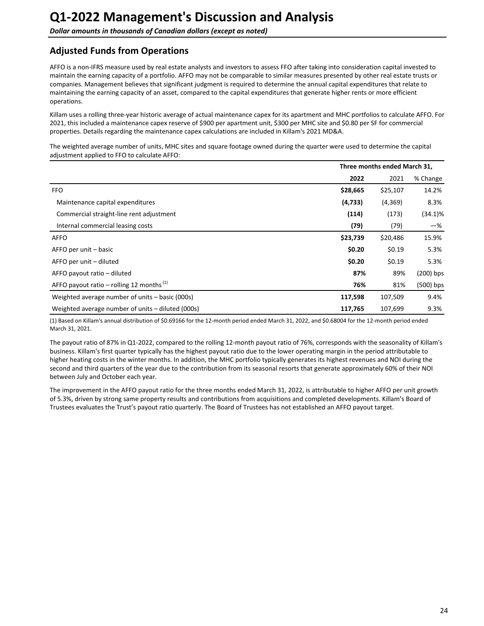## <span id="page-23-0"></span>**Adjusted Funds from Operations**

AFFO is a non-IFRS measure used by real estate analysts and investors to assess FFO after taking into consideration capital invested to maintain the earning capacity of a portfolio. AFFO may not be comparable to similar measures presented by other real estate trusts or companies. Management believes that significant judgment is required to determine the annual capital expenditures that relate to maintaining the earning capacity of an asset, compared to the capital expenditures that generate higher rents or more efficient operations.

Killam uses a rolling three-year historic average of actual maintenance capex for its apartment and MHC portfolios to calculate AFFO. For 2021, this included a maintenance capex reserve of \$900 per apartment unit, \$300 per MHC site and \$0.80 per SF for commercial properties. Details regarding the maintenance capex calculations are included in Killam's 2021 MD&A.

The weighted average number of units, MHC sites and square footage owned during the quarter were used to determine the capital adjustment applied to FFO to calculate AFFO:

|                                                      |          | Three months ended March 31, |             |
|------------------------------------------------------|----------|------------------------------|-------------|
|                                                      | 2022     | 2021                         | % Change    |
| <b>FFO</b>                                           | \$28,665 | \$25,107                     | 14.2%       |
| Maintenance capital expenditures                     | (4, 733) | (4,369)                      | 8.3%        |
| Commercial straight-line rent adjustment             | (114)    | (173)                        | $(34.1)\%$  |
| Internal commercial leasing costs                    | (79)     | (79)                         | -%          |
| AFFO                                                 | \$23,739 | \$20,486                     | 15.9%       |
| AFFO per unit – basic                                | \$0.20   | \$0.19                       | 5.3%        |
| AFFO per unit – diluted                              | \$0.20   | \$0.19                       | 5.3%        |
| AFFO payout ratio - diluted                          | 87%      | 89%                          | $(200)$ bps |
| AFFO payout ratio – rolling 12 months <sup>(1)</sup> | 76%      | 81%                          | (500) bps   |
| Weighted average number of units - basic (000s)      | 117,598  | 107,509                      | 9.4%        |
| Weighted average number of units – diluted (000s)    | 117,765  | 107,699                      | 9.3%        |

(1) Based on Killam's annual distribution of \$0.69166 for the 12-month period ended March 31, 2022, and \$0.68004 for the 12-month period ended March 31, 2021.

The payout ratio of 87% in Q1-2022, compared to the rolling 12-month payout ratio of 76%, corresponds with the seasonality of Killam's business. Killam's first quarter typically has the highest payout ratio due to the lower operating margin in the period attributable to higher heating costs in the winter months. In addition, the MHC portfolio typically generates its highest revenues and NOI during the second and third quarters of the year due to the contribution from its seasonal resorts that generate approximately 60% of their NOI between July and October each year.

The improvement in the AFFO payout ratio for the three months ended March 31, 2022, is attributable to higher AFFO per unit growth of 5.3%, driven by strong same property results and contributions from acquisitions and completed developments. Killam's Board of Trustees evaluates the Trust's payout ratio quarterly. The Board of Trustees has not established an AFFO payout target.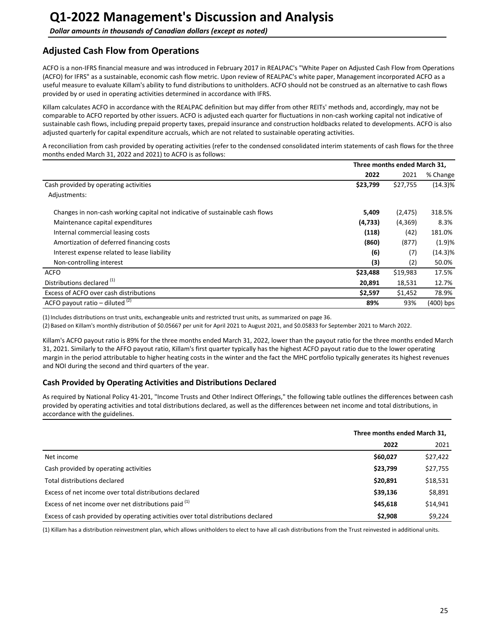## <span id="page-24-0"></span>**Adjusted Cash Flow from Operations**

ACFO is a non-IFRS financial measure and was introduced in February 2017 in REALPAC's "White Paper on Adjusted Cash Flow from Operations (ACFO) for IFRS" as a sustainable, economic cash flow metric. Upon review of REALPAC's white paper, Management incorporated ACFO as a useful measure to evaluate Killam's ability to fund distributions to unitholders. ACFO should not be construed as an alternative to cash flows provided by or used in operating activities determined in accordance with IFRS.

Killam calculates ACFO in accordance with the REALPAC definition but may differ from other REITs' methods and, accordingly, may not be comparable to ACFO reported by other issuers. ACFO is adjusted each quarter for fluctuations in non-cash working capital not indicative of sustainable cash flows, including prepaid property taxes, prepaid insurance and construction holdbacks related to developments. ACFO is also adjusted quarterly for capital expenditure accruals, which are not related to sustainable operating activities.

A reconciliation from cash provided by operating activities (refer to the condensed consolidated interim statements of cash flows for the three months ended March 31, 2022 and 2021) to ACFO is as follows:

|                                                                              | Three months ended March 31, |          |            |
|------------------------------------------------------------------------------|------------------------------|----------|------------|
|                                                                              | 2022                         | 2021     | % Change   |
| Cash provided by operating activities                                        | \$23,799                     | \$27,755 | $(14.3)\%$ |
| Adjustments:                                                                 |                              |          |            |
| Changes in non-cash working capital not indicative of sustainable cash flows | 5,409                        | (2, 475) | 318.5%     |
| Maintenance capital expenditures                                             | (4, 733)                     | (4,369)  | 8.3%       |
| Internal commercial leasing costs                                            | (118)                        | (42)     | 181.0%     |
| Amortization of deferred financing costs                                     | (860)                        | (877)    | (1.9)%     |
| Interest expense related to lease liability                                  | (6)                          | (7)      | $(14.3)\%$ |
| Non-controlling interest                                                     | (3)                          | (2)      | 50.0%      |
| <b>ACFO</b>                                                                  | \$23,488                     | \$19,983 | 17.5%      |
| Distributions declared <sup>(1)</sup>                                        | 20,891                       | 18,531   | 12.7%      |
| Excess of ACFO over cash distributions                                       | \$2,597                      | \$1,452  | 78.9%      |
| ACFO payout ratio – diluted $(2)$                                            | 89%                          | 93%      | (400) bps  |

(1) Includes distributions on trust units, exchangeable units and restricted trust units, as summarized on page 36.

(2) Based on Killam's monthly distribution of \$0.05667 per unit for April 2021 to August 2021, and \$0.05833 for September 2021 to March 2022.

Killam's ACFO payout ratio is 89% for the three months ended March 31, 2022, lower than the payout ratio for the three months ended March 31, 2021. Similarly to the AFFO payout ratio, Killam's first quarter typically has the highest ACFO payout ratio due to the lower operating margin in the period attributable to higher heating costs in the winter and the fact the MHC portfolio typically generates its highest revenues and NOI during the second and third quarters of the year.

## **Cash Provided by Operating Activities and Distributions Declared**

As required by National Policy 41-201, "Income Trusts and Other Indirect Offerings," the following table outlines the differences between cash provided by operating activities and total distributions declared, as well as the differences between net income and total distributions, in accordance with the guidelines.

|                                                                                   | Three months ended March 31, |          |
|-----------------------------------------------------------------------------------|------------------------------|----------|
|                                                                                   | 2022                         | 2021     |
| Net income                                                                        | \$60,027                     | \$27,422 |
| Cash provided by operating activities                                             | \$23,799                     | \$27,755 |
| Total distributions declared                                                      | \$20,891                     | \$18,531 |
| Excess of net income over total distributions declared                            | \$39,136                     | \$8,891  |
| Excess of net income over net distributions paid (1)                              | \$45,618                     | \$14,941 |
| Excess of cash provided by operating activities over total distributions declared | \$2.908                      | \$9.224  |

(1) Killam has a distribution reinvestment plan, which allows unitholders to elect to have all cash distributions from the Trust reinvested in additional units.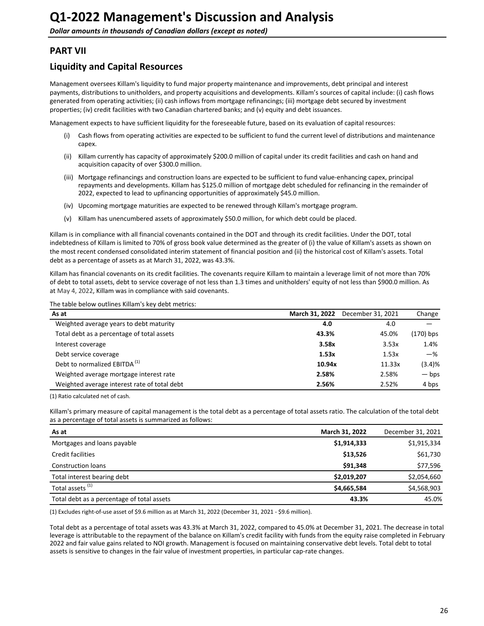## <span id="page-25-0"></span>**PART VII**

## **Liquidity and Capital Resources**

Management oversees Killam's liquidity to fund major property maintenance and improvements, debt principal and interest payments, distributions to unitholders, and property acquisitions and developments. Killam's sources of capital include: (i) cash flows generated from operating activities; (ii) cash inflows from mortgage refinancings; (iii) mortgage debt secured by investment properties; (iv) credit facilities with two Canadian chartered banks; and (v) equity and debt issuances.

Management expects to have sufficient liquidity for the foreseeable future, based on its evaluation of capital resources:

- (i) Cash flows from operating activities are expected to be sufficient to fund the current level of distributions and maintenance capex.
- (ii) Killam currently has capacity of approximately \$200.0 million of capital under its credit facilities and cash on hand and acquisition capacity of over \$300.0 million.
- (iii) Mortgage refinancings and construction loans are expected to be sufficient to fund value-enhancing capex, principal repayments and developments. Killam has \$125.0 million of mortgage debt scheduled for refinancing in the remainder of 2022, expected to lead to upfinancing opportunities of approximately \$45.0 million.
- (iv) Upcoming mortgage maturities are expected to be renewed through Killam's mortgage program.
- (v) Killam has unencumbered assets of approximately \$50.0 million, for which debt could be placed.

Killam is in compliance with all financial covenants contained in the DOT and through its credit facilities. Under the DOT, total indebtedness of Killam is limited to 70% of gross book value determined as the greater of (i) the value of Killam's assets as shown on the most recent condensed consolidated interim statement of financial position and (ii) the historical cost of Killam's assets. Total debt as a percentage of assets as at March 31, 2022, was 43.3%.

Killam has financial covenants on its credit facilities. The covenants require Killam to maintain a leverage limit of not more than 70% of debt to total assets, debt to service coverage of not less than 1.3 times and unitholders' equity of not less than \$900.0 million. As at May 4, 2022, Killam was in compliance with said covenants.

The table below outlines Killam's key debt metrics:

| As at                                        | March 31, 2022 | December 31, 2021 | Change          |
|----------------------------------------------|----------------|-------------------|-----------------|
| Weighted average years to debt maturity      | 4.0            | 4.0               |                 |
| Total debt as a percentage of total assets   | 43.3%          | 45.0%             | (170) bps       |
| Interest coverage                            | 3.58x          | 3.53x             | 1.4%            |
| Debt service coverage                        | 1.53x          | 1.53x             | $-\%$           |
| Debt to normalized EBITDA <sup>(1)</sup>     | 10.94x         | 11.33x            | (3.4)%          |
| Weighted average mortgage interest rate      | 2.58%          | 2.58%             | $-\mathsf{bps}$ |
| Weighted average interest rate of total debt | 2.56%          | 2.52%             | 4 bps           |

(1) Ratio calculated net of cash.

Killam's primary measure of capital management is the total debt as a percentage of total assets ratio. The calculation of the total debt as a percentage of total assets is summarized as follows:

| As at                                      | March 31, 2022 | December 31, 2021 |
|--------------------------------------------|----------------|-------------------|
| Mortgages and loans payable                | \$1,914,333    | \$1,915,334       |
| Credit facilities                          | \$13,526       | \$61,730          |
| <b>Construction loans</b>                  | \$91.348       | \$77,596          |
| Total interest bearing debt                | \$2,019,207    | \$2,054,660       |
| Total assets <sup>(1)</sup>                | \$4,665,584    | \$4,568,903       |
| Total debt as a percentage of total assets | 43.3%          | 45.0%             |

(1) Excludes right-of-use asset of \$9.6 million as at March 31, 2022 (December 31, 2021 - \$9.6 million).

Total debt as a percentage of total assets was 43.3% at March 31, 2022, compared to 45.0% at December 31, 2021. The decrease in total leverage is attributable to the repayment of the balance on Killam's credit facility with funds from the equity raise completed in February 2022 and fair value gains related to NOI growth. Management is focused on maintaining conservative debt levels. Total debt to total assets is sensitive to changes in the fair value of investment properties, in particular cap-rate changes.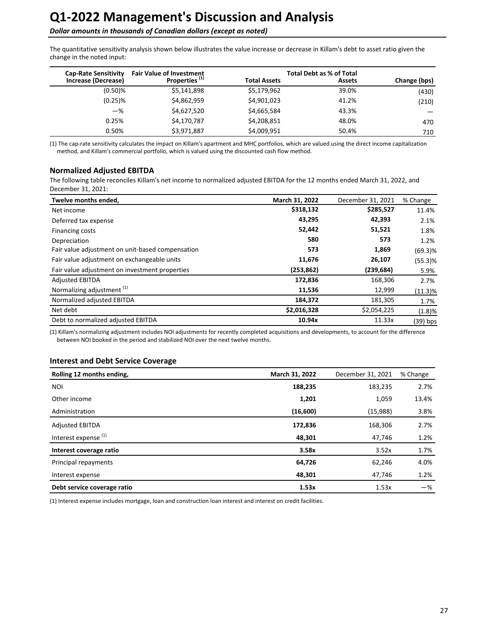### **Dollar amounts in thousands of Canadian dollars (except as noted)**

The quantitative sensitivity analysis shown below illustrates the value increase or decrease in Killam's debt to asset ratio given the change in the noted input:

| <b>Cap-Rate Sensitivity</b> | <b>Fair Value of Investment</b> | <b>Total Debt as % of Total</b> |               |              |
|-----------------------------|---------------------------------|---------------------------------|---------------|--------------|
| Increase (Decrease)         | Properties <sup>(1)</sup>       | <b>Total Assets</b>             | <b>Assets</b> | Change (bps) |
| $(0.50)$ %                  | \$5,141,898                     | \$5,179,962                     | 39.0%         | (430)        |
| $(0.25)$ %                  | \$4,862,959                     | \$4,901,023                     | 41.2%         | (210)        |
| $-$ %                       | \$4,627,520                     | \$4,665,584                     | 43.3%         |              |
| 0.25%                       | \$4,170,787                     | \$4,208,851                     | 48.0%         | 470          |
| 0.50%                       | \$3,971,887                     | \$4,009,951                     | 50.4%         | 710          |

(1) The cap-rate sensitivity calculates the impact on Killam's apartment and MHC portfolios, which are valued using the direct income capitalization method, and Killam's commercial portfolio, which is valued using the discounted cash flow method.

#### **Normalized Adjusted EBITDA**

The following table reconciles Killam's net income to normalized adjusted EBITDA for the 12 months ended March 31, 2022, and December 31, 2021:

| Twelve months ended,                             | March 31, 2022 | December 31, 2021 | % Change   |
|--------------------------------------------------|----------------|-------------------|------------|
| Net income                                       | \$318,132      | \$285,527         | 11.4%      |
| Deferred tax expense                             | 43,295         | 42,393            | 2.1%       |
| Financing costs                                  | 52,442         | 51,521            | 1.8%       |
| Depreciation                                     | 580            | 573               | 1.2%       |
| Fair value adjustment on unit-based compensation | 573            | 1,869             | $(69.3)$ % |
| Fair value adjustment on exchangeable units      | 11,676         | 26,107            | (55.3)%    |
| Fair value adjustment on investment properties   | (253, 862)     | (239, 684)        | 5.9%       |
| <b>Adjusted EBITDA</b>                           | 172,836        | 168,306           | 2.7%       |
| Normalizing adjustment <sup>(1)</sup>            | 11,536         | 12,999            | (11.3)%    |
| Normalized adjusted EBITDA                       | 184,372        | 181,305           | 1.7%       |
| Net debt                                         | \$2,016,328    | \$2,054,225       | (1.8)%     |
| Debt to normalized adjusted EBITDA               | 10.94x         | 11.33x            | (39) bps   |

(1) Killam's normalizing adjustment includes NOI adjustments for recently completed acquisitions and developments, to account for the difference between NOI booked in the period and stabilized NOI over the next twelve months.

### **Interest and Debt Service Coverage**

| Rolling 12 months ending,       | March 31, 2022 | December 31, 2021 | % Change |
|---------------------------------|----------------|-------------------|----------|
| <b>NOI</b>                      | 188,235        | 183,235           | 2.7%     |
| Other income                    | 1,201          | 1,059             | 13.4%    |
| Administration                  | (16,600)       | (15,988)          | 3.8%     |
| <b>Adjusted EBITDA</b>          | 172,836        | 168,306           | 2.7%     |
| Interest expense <sup>(1)</sup> | 48,301         | 47,746            | 1.2%     |
| Interest coverage ratio         | 3.58x          | 3.52x             | 1.7%     |
| Principal repayments            | 64,726         | 62,246            | 4.0%     |
| Interest expense                | 48,301         | 47,746            | 1.2%     |
| Debt service coverage ratio     | 1.53x          | 1.53x             | $-$ %    |

(1) Interest expense includes mortgage, loan and construction loan interest and interest on credit facilities.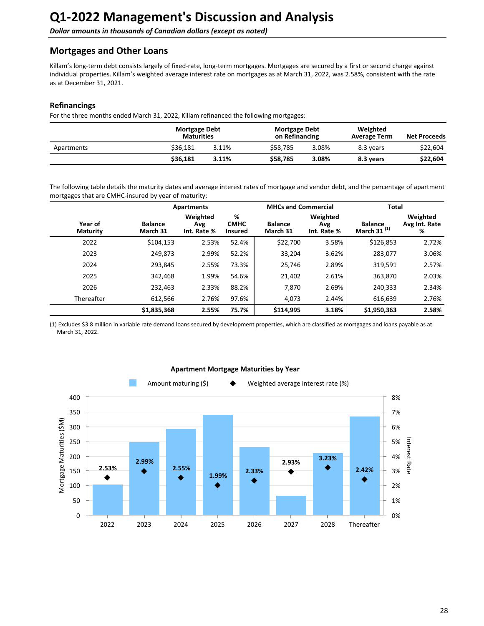<span id="page-27-0"></span>**Dollar amounts in thousands of Canadian dollars (except as noted)** 

## **Mortgages and Other Loans**

Killam's long-term debt consists largely of fixed-rate, long-term mortgages. Mortgages are secured by a first or second charge against individual properties. Killam's weighted average interest rate on mortgages as at March 31, 2022, was 2.58%, consistent with the rate as at December 31, 2021.

### **Refinancings**

For the three months ended March 31, 2022, Killam refinanced the following mortgages:

|            | <b>Mortgage Debt</b><br><b>Maturities</b> |       | <b>Mortgage Debt</b><br>on Refinancing |       | Weighted<br><b>Average Term</b> | <b>Net Proceeds</b> |
|------------|-------------------------------------------|-------|----------------------------------------|-------|---------------------------------|---------------------|
| Apartments | \$36.181                                  | 3.11% | \$58.785                               | 3.08% | 8.3 years                       | \$22,604            |
|            | \$36.181                                  | 3.11% | \$58,785                               | 3.08% | 8.3 years                       | \$22,604            |

The following table details the maturity dates and average interest rates of mortgage and vendor debt, and the percentage of apartment mortgages that are CMHC-insured by year of maturity:

|                            |                            | <b>Apartments</b>              |                                    |                            | <b>MHCs and Commercial</b>     |                                  | <b>Total</b>                   |  |
|----------------------------|----------------------------|--------------------------------|------------------------------------|----------------------------|--------------------------------|----------------------------------|--------------------------------|--|
| Year of<br><b>Maturity</b> | <b>Balance</b><br>March 31 | Weighted<br>Avg<br>Int. Rate % | %<br><b>CMHC</b><br><b>Insured</b> | <b>Balance</b><br>March 31 | Weighted<br>Avg<br>Int. Rate % | <b>Balance</b><br>March 31 $(1)$ | Weighted<br>Avg Int. Rate<br>% |  |
| 2022                       | \$104,153                  | 2.53%                          | 52.4%                              | \$22,700                   | 3.58%                          | \$126,853                        | 2.72%                          |  |
| 2023                       | 249,873                    | 2.99%                          | 52.2%                              | 33,204                     | 3.62%                          | 283,077                          | 3.06%                          |  |
| 2024                       | 293,845                    | 2.55%                          | 73.3%                              | 25,746                     | 2.89%                          | 319,591                          | 2.57%                          |  |
| 2025                       | 342,468                    | 1.99%                          | 54.6%                              | 21,402                     | 2.61%                          | 363,870                          | 2.03%                          |  |
| 2026                       | 232,463                    | 2.33%                          | 88.2%                              | 7,870                      | 2.69%                          | 240,333                          | 2.34%                          |  |
| Thereafter                 | 612,566                    | 2.76%                          | 97.6%                              | 4,073                      | 2.44%                          | 616,639                          | 2.76%                          |  |
|                            | \$1,835,368                | 2.55%                          | 75.7%                              | \$114,995                  | 3.18%                          | \$1,950,363                      | 2.58%                          |  |

(1) Excludes \$3.8 million in variable rate demand loans secured by development properties, which are classified as mortgages and loans payable as at March 31, 2022.



### **Apartment Mortgage Maturities by Year**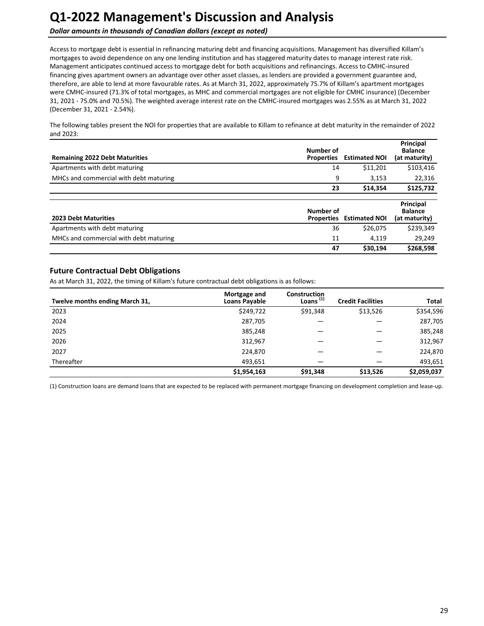**Dollar amounts in thousands of Canadian dollars (except as noted)** 

Access to mortgage debt is essential in refinancing maturing debt and financing acquisitions. Management has diversified Killam's mortgages to avoid dependence on any one lending institution and has staggered maturity dates to manage interest rate risk. Management anticipates continued access to mortgage debt for both acquisitions and refinancings. Access to CMHC-insured financing gives apartment owners an advantage over other asset classes, as lenders are provided a government guarantee and, therefore, are able to lend at more favourable rates. As at March 31, 2022, approximately 75.7% of Killam's apartment mortgages were CMHC-insured (71.3% of total mortgages, as MHC and commercial mortgages are not eligible for CMHC insurance) (December 31, 2021 - 75.0% and 70.5%). The weighted average interest rate on the CMHC-insured mortgages was 2.55% as at March 31, 2022 (December 31, 2021 - 2.54%).

The following tables present the NOI for properties that are available to Killam to refinance at debt maturity in the remainder of 2022 and 2023:

| <b>Remaining 2022 Debt Maturities</b>  | Number of<br><b>Properties</b> | <b>Estimated NOI</b>            | Principal<br><b>Balance</b><br>(at maturity) |
|----------------------------------------|--------------------------------|---------------------------------|----------------------------------------------|
| Apartments with debt maturing          | 14                             | \$11,201                        | \$103,416                                    |
| MHCs and commercial with debt maturing | 9                              | 3,153                           | 22,316                                       |
|                                        | 23                             | \$14.354                        | \$125,732                                    |
| <b>2023 Debt Maturities</b>            | Number of                      | <b>Properties Estimated NOI</b> | Principal<br><b>Balance</b><br>(at maturity) |
| Apartments with debt maturing          | 36                             | \$26.075                        | \$239.349                                    |

MHCs and commercial with debt maturing and the community of the community of the community of the community of the community of the community of the community of the community of the community of the community of the commu

## **Future Contractual Debt Obligations**

As at March 31, 2022, the timing of Killam's future contractual debt obligations is as follows:

| Twelve months ending March 31, | Mortgage and<br><b>Loans Payable</b> | <b>Construction</b><br>Loans $(1)$ | <b>Credit Facilities</b> | Total       |
|--------------------------------|--------------------------------------|------------------------------------|--------------------------|-------------|
| 2023                           | \$249,722                            | \$91,348                           | \$13,526                 | \$354,596   |
| 2024                           | 287,705                              |                                    |                          | 287,705     |
| 2025                           | 385,248                              |                                    |                          | 385,248     |
| 2026                           | 312,967                              |                                    |                          | 312,967     |
| 2027                           | 224,870                              |                                    |                          | 224,870     |
| Thereafter                     | 493,651                              |                                    |                          | 493,651     |
|                                | \$1,954,163                          | \$91,348                           | \$13,526                 | \$2,059,037 |

(1) Construction loans are demand loans that are expected to be replaced with permanent mortgage financing on development completion and lease-up.

**47 \$30,194 \$268,598**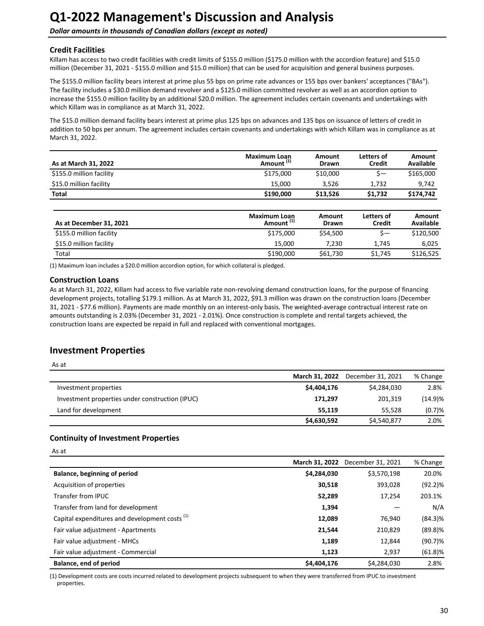<span id="page-29-0"></span>**Dollar amounts in thousands of Canadian dollars (except as noted)** 

### **Credit Facilities**

Killam has access to two credit facilities with credit limits of \$155.0 million (\$175.0 million with the accordion feature) and \$15.0 million (December 31, 2021 - \$155.0 million and \$15.0 million) that can be used for acquisition and general business purposes.

The \$155.0 million facility bears interest at prime plus 55 bps on prime rate advances or 155 bps over bankers' acceptances ("BAs"). The facility includes a \$30.0 million demand revolver and a \$125.0 million committed revolver as well as an accordion option to increase the \$155.0 million facility by an additional \$20.0 million. The agreement includes certain covenants and undertakings with which Killam was in compliance as at March 31, 2022.

The \$15.0 million demand facility bears interest at prime plus 125 bps on advances and 135 bps on issuance of letters of credit in addition to 50 bps per annum. The agreement includes certain covenants and undertakings with which Killam was in compliance as at March 31, 2022.

| As at March 31, 2022     | Maximum Loan<br>Amount <sup>(1)</sup> | Amount<br><b>Drawn</b> | Letters of<br><b>Credit</b> | Amount<br>Available |
|--------------------------|---------------------------------------|------------------------|-----------------------------|---------------------|
| \$155.0 million facility | \$175,000                             | \$10,000               |                             | \$165,000           |
| \$15.0 million facility  | 15.000                                | 3.526                  | 1.732                       | 9.742               |
| <b>Total</b>             | \$190,000                             | \$13.526               | \$1.732                     | \$174.742           |

|                          | <b>Maximum Loan</b>   | Amount       | Letters of    | Amount           |
|--------------------------|-----------------------|--------------|---------------|------------------|
| As at December 31, 2021  | Amount <sup>(1)</sup> | <b>Drawn</b> | <b>Credit</b> | <b>Available</b> |
| \$155.0 million facility | \$175,000             | \$54,500     | S—            | \$120,500        |
| \$15.0 million facility  | 15.000                | 7.230        | 1.745         | 6.025            |
| Total                    | \$190,000             | \$61,730     | \$1,745       | \$126,525        |

(1) Maximum loan includes a \$20.0 million accordion option, for which collateral is pledged.

### **Construction Loans**

As at March 31, 2022, Killam had access to five variable rate non-revolving demand construction loans, for the purpose of financing development projects, totalling \$179.1 million. As at March 31, 2022, \$91.3 million was drawn on the construction loans (December 31, 2021 - \$77.6 million). Payments are made monthly on an interest-only basis. The weighted-average contractual interest rate on amounts outstanding is 2.03% (December 31, 2021 - 2.01%). Once construction is complete and rental targets achieved, the construction loans are expected be repaid in full and replaced with conventional mortgages.

## **Investment Properties**

| <br>× |
|-------|
|       |

|                                                 | March 31, 2022 | December 31, 2021 | % Change |
|-------------------------------------------------|----------------|-------------------|----------|
| Investment properties                           | \$4,404,176    | \$4,284,030       | 2.8%     |
| Investment properties under construction (IPUC) | 171,297        | 201.319           | (14.9)%  |
| Land for development                            | 55.119         | 55.528            | (0.7)%   |
|                                                 | \$4,630,592    | \$4,540,877       | 2.0%     |

### **Continuity of Investment Properties**

|                                                           |             | March 31, 2022 December 31, 2021 | % Change   |
|-----------------------------------------------------------|-------------|----------------------------------|------------|
| Balance, beginning of period                              | \$4,284,030 | \$3,570,198                      | 20.0%      |
| Acquisition of properties                                 | 30,518      | 393,028                          | $(92.2)\%$ |
| Transfer from IPUC                                        | 52,289      | 17,254                           | 203.1%     |
| Transfer from land for development                        | 1,394       |                                  | N/A        |
| Capital expenditures and development costs <sup>(1)</sup> | 12,089      | 76,940                           | $(84.3)\%$ |
| Fair value adjustment - Apartments                        | 21,544      | 210.829                          | $(89.8)$ % |
| Fair value adjustment - MHCs                              | 1,189       | 12,844                           | $(90.7)$ % |
| Fair value adjustment - Commercial                        | 1,123       | 2,937                            | $(61.8)$ % |
| Balance, end of period                                    | \$4,404,176 | \$4,284,030                      | 2.8%       |

(1) Development costs are costs incurred related to development projects subsequent to when they were transferred from IPUC to investment properties.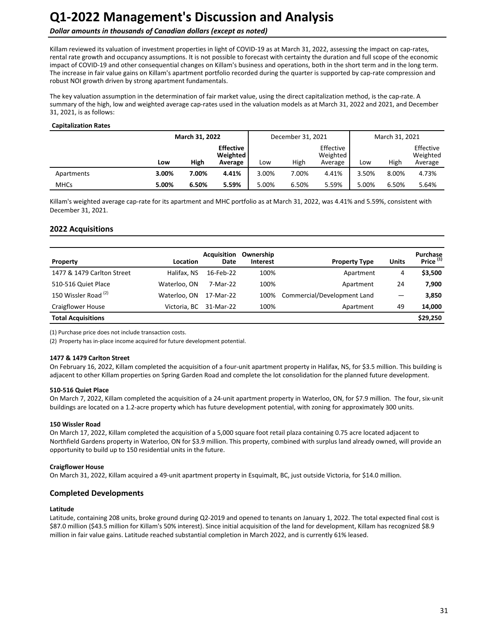## **Dollar amounts in thousands of Canadian dollars (except as noted)**

Killam reviewed its valuation of investment properties in light of COVID-19 as at March 31, 2022, assessing the impact on cap-rates, rental rate growth and occupancy assumptions. It is not possible to forecast with certainty the duration and full scope of the economic impact of COVID-19 and other consequential changes on Killam's business and operations, both in the short term and in the long term. The increase in fair value gains on Killam's apartment portfolio recorded during the quarter is supported by cap-rate compression and robust NOI growth driven by strong apartment fundamentals.

The key valuation assumption in the determination of fair market value, using the direct capitalization method, is the cap-rate. A summary of the high, low and weighted average cap-rates used in the valuation models as at March 31, 2022 and 2021, and December 31, 2021, is as follows:

#### **Capitalization Rates**

|             |       | March 31, 2022 |                                         | December 31, 2021 |       |                                  | March 31, 2021 |       |                                  |
|-------------|-------|----------------|-----------------------------------------|-------------------|-------|----------------------------------|----------------|-------|----------------------------------|
|             | Low   | High           | <b>Effective</b><br>Weighted<br>Average | Low               | High  | Effective<br>Weighted<br>Average | Low            | High  | Effective<br>Weighted<br>Average |
| Apartments  | 3.00% | 7.00%          | 4.41%                                   | 3.00%             | 7.00% | 4.41%                            | 3.50%          | 8.00% | 4.73%                            |
| <b>MHCs</b> | 5.00% | 6.50%          | 5.59%                                   | 5.00%             | 6.50% | 5.59%                            | 5.00%          | 6.50% | 5.64%                            |

Killam's weighted average cap-rate for its apartment and MHC portfolio as at March 31, 2022, was 4.41% and 5.59%, consistent with December 31, 2021. 

### **2022 Acquisitions**

| Property                        | Location     | <b>Acquisition</b><br>Date | Ownership<br><b>Interest</b> | <b>Property Type</b>        | <b>Units</b> | <b>Purchase</b><br>Price <sup>(1)</sup> |
|---------------------------------|--------------|----------------------------|------------------------------|-----------------------------|--------------|-----------------------------------------|
| 1477 & 1479 Carlton Street      | Halifax, NS  | 16-Feb-22                  | 100%                         | Apartment                   | 4            | \$3,500                                 |
| 510-516 Quiet Place             | Waterloo, ON | 7-Mar-22                   | 100%                         | Apartment                   | 24           | 7,900                                   |
| 150 Wissler Road <sup>(2)</sup> | Waterloo, ON | 17-Mar-22                  | 100%                         | Commercial/Development Land |              | 3,850                                   |
| <b>Craigflower House</b>        |              | Victoria, BC 31-Mar-22     | 100%                         | Apartment                   | 49           | 14,000                                  |
| <b>Total Acquisitions</b>       |              |                            |                              |                             |              | \$29,250                                |

(1) Purchase price does not include transaction costs.

(2) Property has in-place income acquired for future development potential.

#### **1477 & 1479 Carlton Street**

On February 16, 2022, Killam completed the acquisition of a four-unit apartment property in Halifax, NS, for \$3.5 million. This building is adjacent to other Killam properties on Spring Garden Road and complete the lot consolidation for the planned future development.

#### **510-516 Quiet Place**

On March 7, 2022, Killam completed the acquisition of a 24-unit apartment property in Waterloo, ON, for \$7.9 million. The four, six-unit buildings are located on a 1.2-acre property which has future development potential, with zoning for approximately 300 units.

#### **150 Wissler Road**

On March 17, 2022, Killam completed the acquisition of a 5,000 square foot retail plaza containing 0.75 acre located adjacent to Northfield Gardens property in Waterloo, ON for \$3.9 million. This property, combined with surplus land already owned, will provide an opportunity to build up to 150 residential units in the future.

#### **Craigflower House**

On March 31, 2022, Killam acquired a 49-unit apartment property in Esquimalt, BC, just outside Victoria, for \$14.0 million.

#### **Completed Developments**

#### **Latitude**

Latitude, containing 208 units, broke ground during Q2-2019 and opened to tenants on January 1, 2022. The total expected final cost is \$87.0 million (\$43.5 million for Killam's 50% interest). Since initial acquisition of the land for development, Killam has recognized \$8.9 million in fair value gains. Latitude reached substantial completion in March 2022, and is currently 61% leased.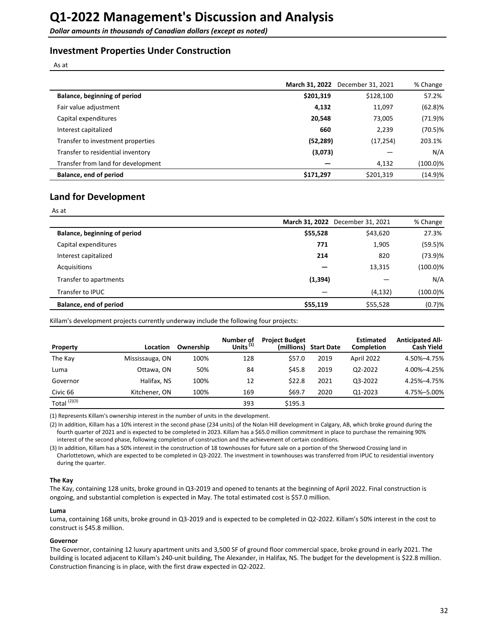## **Investment Properties Under Construction**

As at

|                                    | March 31, 2022 | December 31, 2021 | % Change   |
|------------------------------------|----------------|-------------------|------------|
| Balance, beginning of period       | \$201,319      | \$128,100         | 57.2%      |
| Fair value adjustment              | 4,132          | 11,097            | $(62.8)$ % |
| Capital expenditures               | 20,548         | 73,005            | (71.9)%    |
| Interest capitalized               | 660            | 2,239             | $(70.5)\%$ |
| Transfer to investment properties  | (52, 289)      | (17, 254)         | 203.1%     |
| Transfer to residential inventory  | (3,073)        |                   | N/A        |
| Transfer from land for development |                | 4,132             | (100.0)%   |
| Balance, end of period             | \$171,297      | \$201,319         | (14.9)%    |

## **Land for Development**

As at

|                              |          | March 31, 2022 December 31, 2021 | % Change    |
|------------------------------|----------|----------------------------------|-------------|
| Balance, beginning of period | \$55,528 | \$43,620                         | 27.3%       |
| Capital expenditures         | 771      | 1,905                            | $(59.5)\%$  |
| Interest capitalized         | 214      | 820                              | (73.9)%     |
| Acquisitions                 |          | 13,315                           | $(100.0)\%$ |
| Transfer to apartments       | (1, 394) |                                  | N/A         |
| Transfer to IPUC             |          | (4, 132)                         | $(100.0)\%$ |
| Balance, end of period       | \$55,119 | \$55,528                         | (0.7)%      |

Killam's development projects currently underway include the following four projects:

| <b>Property</b> | Location        | Ownership | Number of<br>Units $^{(1)}$ | <b>Project Budget</b><br>(millions) | <b>Start Date</b> | <b>Estimated</b><br><b>Completion</b> | <b>Anticipated All-</b><br><b>Cash Yield</b> |
|-----------------|-----------------|-----------|-----------------------------|-------------------------------------|-------------------|---------------------------------------|----------------------------------------------|
| The Kay         | Mississauga, ON | 100%      | 128                         | \$57.0                              | 2019              | April 2022                            | 4.50%-4.75%                                  |
| Luma            | Ottawa, ON      | 50%       | 84                          | \$45.8                              | 2019              | 02-2022                               | 4.00%-4.25%                                  |
| Governor        | Halifax, NS     | 100%      | 12                          | \$22.8                              | 2021              | 03-2022                               | 4.25%-4.75%                                  |
| Civic 66        | Kitchener, ON   | 100%      | 169                         | \$69.7                              | 2020              | Q1-2023                               | 4.75%-5.00%                                  |
| Total $(2)(3)$  |                 |           | 393                         | \$195.3                             |                   |                                       |                                              |

(1) Represents Killam's ownership interest in the number of units in the development.

(2) In addition, Killam has a 10% interest in the second phase (234 units) of the Nolan Hill development in Calgary, AB, which broke ground during the fourth quarter of 2021 and is expected to be completed in 2023. Killam has a \$65.0 million commitment in place to purchase the remaining 90% interest of the second phase, following completion of construction and the achievement of certain conditions.

(3) In addition, Killam has a 50% interest in the construction of 18 townhouses for future sale on a portion of the Sherwood Crossing land in Charlottetown, which are expected to be completed in Q3-2022. The investment in townhouses was transferred from IPUC to residential inventory during the quarter.

#### **The Kay**

The Kay, containing 128 units, broke ground in Q3-2019 and opened to tenants at the beginning of April 2022. Final construction is ongoing, and substantial completion is expected in May. The total estimated cost is \$57.0 million.

#### **Luma**

Luma, containing 168 units, broke ground in Q3-2019 and is expected to be completed in Q2-2022. Killam's 50% interest in the cost to construct is \$45.8 million.

#### **Governor**

The Governor, containing 12 luxury apartment units and 3,500 SF of ground floor commercial space, broke ground in early 2021. The building is located adjacent to Killam's 240-unit building, The Alexander, in Halifax, NS. The budget for the development is \$22.8 million. Construction financing is in place, with the first draw expected in Q2-2022.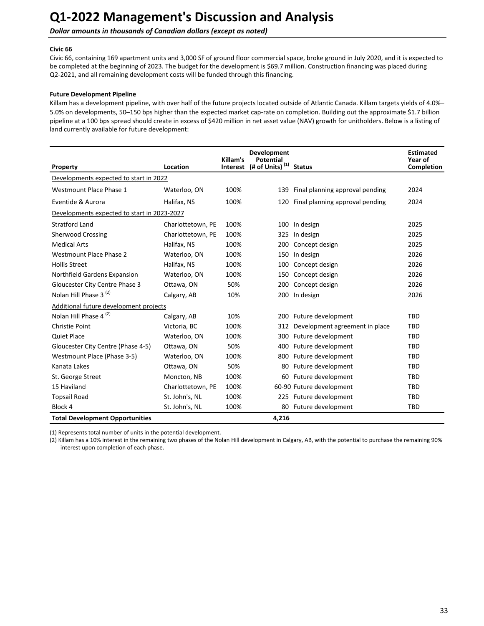**Dollar amounts in thousands of Canadian dollars (except as noted)** 

#### **Civic 66**

Civic 66, containing 169 apartment units and 3,000 SF of ground floor commercial space, broke ground in July 2020, and it is expected to be completed at the beginning of 2023. The budget for the development is \$69.7 million. Construction financing was placed during Q2-2021, and all remaining development costs will be funded through this financing.

#### **Future Development Pipeline**

Killam has a development pipeline, with over half of the future projects located outside of Atlantic Canada. Killam targets yields of 4.0%-5.0% on developments, 50-150 bps higher than the expected market cap-rate on completion. Building out the approximate \$1.7 billion pipeline at a 100 bps spread should create in excess of \$420 million in net asset value (NAV) growth for unitholders. Below is a listing of land currently available for future development:

| Property                                    | Location          | Killam's | <b>Development</b><br><b>Potential</b><br>Interest (# of Units) <sup>(1)</sup> | <b>Status</b>                   | <b>Estimated</b><br>Year of<br>Completion |
|---------------------------------------------|-------------------|----------|--------------------------------------------------------------------------------|---------------------------------|-------------------------------------------|
| Developments expected to start in 2022      |                   |          |                                                                                |                                 |                                           |
| Westmount Place Phase 1                     | Waterloo, ON      | 100%     | 139                                                                            | Final planning approval pending | 2024                                      |
| Eventide & Aurora                           | Halifax, NS       | 100%     | 120                                                                            | Final planning approval pending | 2024                                      |
| Developments expected to start in 2023-2027 |                   |          |                                                                                |                                 |                                           |
| <b>Stratford Land</b>                       | Charlottetown, PE | 100%     | 100                                                                            | In design                       | 2025                                      |
| <b>Sherwood Crossing</b>                    | Charlottetown, PE | 100%     | 325                                                                            | In design                       | 2025                                      |
| <b>Medical Arts</b>                         | Halifax, NS       | 100%     | 200                                                                            | Concept design                  | 2025                                      |
| Westmount Place Phase 2                     | Waterloo, ON      | 100%     | 150                                                                            | In design                       | 2026                                      |
| <b>Hollis Street</b>                        | Halifax, NS       | 100%     | 100                                                                            | Concept design                  | 2026                                      |
| Northfield Gardens Expansion                | Waterloo, ON      | 100%     | 150                                                                            | Concept design                  | 2026                                      |
| Gloucester City Centre Phase 3              | Ottawa, ON        | 50%      | 200                                                                            | Concept design                  | 2026                                      |
| Nolan Hill Phase 3 <sup>(2)</sup>           | Calgary, AB       | 10%      | 200                                                                            | In design                       | 2026                                      |
| Additional future development projects      |                   |          |                                                                                |                                 |                                           |
| Nolan Hill Phase 4 <sup>(2)</sup>           | Calgary, AB       | 10%      |                                                                                | 200 Future development          | <b>TBD</b>                                |
| Christie Point                              | Victoria, BC      | 100%     | 312                                                                            | Development agreement in place  | <b>TBD</b>                                |
| <b>Quiet Place</b>                          | Waterloo, ON      | 100%     | 300                                                                            | Future development              | <b>TBD</b>                                |
| Gloucester City Centre (Phase 4-5)          | Ottawa, ON        | 50%      | 400                                                                            | Future development              | TBD                                       |
| Westmount Place (Phase 3-5)                 | Waterloo, ON      | 100%     | 800                                                                            | Future development              | TBD                                       |
| Kanata Lakes                                | Ottawa, ON        | 50%      | 80                                                                             | Future development              | TBD                                       |
| St. George Street                           | Moncton, NB       | 100%     | 60                                                                             | Future development              | TBD                                       |
| 15 Haviland                                 | Charlottetown, PE | 100%     |                                                                                | 60-90 Future development        | <b>TBD</b>                                |
| <b>Topsail Road</b>                         | St. John's, NL    | 100%     | 225                                                                            | Future development              | TBD                                       |
| Block 4                                     | St. John's, NL    | 100%     | 80                                                                             | Future development              | <b>TBD</b>                                |
| <b>Total Development Opportunities</b>      |                   |          | 4,216                                                                          |                                 |                                           |

(1) Represents total number of units in the potential development.

(2) Killam has a 10% interest in the remaining two phases of the Nolan Hill development in Calgary, AB, with the potential to purchase the remaining 90% interest upon completion of each phase.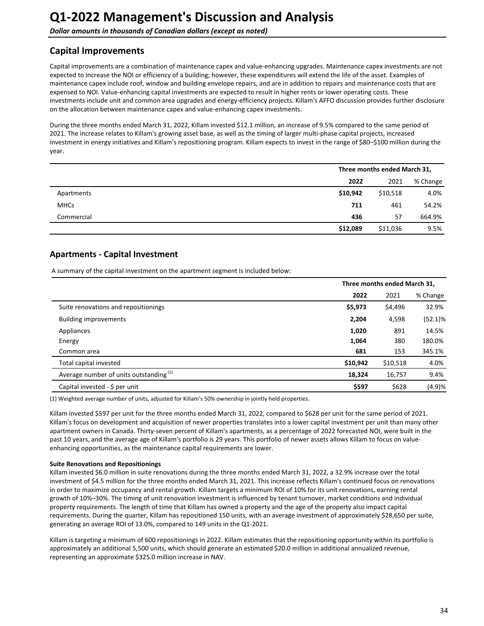## <span id="page-33-0"></span>**Capital Improvements**

Capital improvements are a combination of maintenance capex and value-enhancing upgrades. Maintenance capex investments are not expected to increase the NOI or efficiency of a building; however, these expenditures will extend the life of the asset. Examples of maintenance capex include roof, window and building envelope repairs, and are in addition to repairs and maintenance costs that are expensed to NOI. Value-enhancing capital investments are expected to result in higher rents or lower operating costs. These investments include unit and common area upgrades and energy-efficiency projects. Killam's AFFO discussion provides further disclosure on the allocation between maintenance capex and value-enhancing capex investments.

During the three months ended March 31, 2022, Killam invested \$12.1 million, an increase of 9.5% compared to the same period of 2021. The increase relates to Killam's growing asset base, as well as the timing of larger multi-phase capital projects, increased investment in energy initiatives and Killam's repositioning program. Killam expects to invest in the range of \$80-\$100 million during the year.

|             |          | Three months ended March 31, |          |  |  |
|-------------|----------|------------------------------|----------|--|--|
|             | 2022     | 2021                         | % Change |  |  |
| Apartments  | \$10,942 | \$10,518                     | 4.0%     |  |  |
| <b>MHCs</b> | 711      | 461                          | 54.2%    |  |  |
| Commercial  | 436      | 57                           | 664.9%   |  |  |
|             | \$12,089 | \$11,036                     | 9.5%     |  |  |

## **Apartments - Capital Investment**

A summary of the capital investment on the apartment segment is included below:

|                                                    | Three months ended March 31, |          |            |  |
|----------------------------------------------------|------------------------------|----------|------------|--|
|                                                    | 2022                         | 2021     | % Change   |  |
| Suite renovations and repositionings               | \$5,973                      | \$4,496  | 32.9%      |  |
| <b>Building improvements</b>                       | 2,204                        | 4,598    | $(52.1)\%$ |  |
| Appliances                                         | 1,020                        | 891      | 14.5%      |  |
| Energy                                             | 1,064                        | 380      | 180.0%     |  |
| Common area                                        | 681                          | 153      | 345.1%     |  |
| Total capital invested                             | \$10,942                     | \$10,518 | 4.0%       |  |
| Average number of units outstanding <sup>(1)</sup> | 18,324                       | 16,757   | 9.4%       |  |
| Capital invested - $\oint$ per unit                | \$597                        | \$628    | (4.9)%     |  |

(1) Weighted average number of units, adjusted for Killam's 50% ownership in jointly held properties.

Killam invested \$597 per unit for the three months ended March 31, 2022, compared to \$628 per unit for the same period of 2021. Killam's focus on development and acquisition of newer properties translates into a lower capital investment per unit than many other apartment owners in Canada. Thirty-seven percent of Killam's apartments, as a percentage of 2022 forecasted NOI, were built in the past 10 years, and the average age of Killam's portfolio is 29 years. This portfolio of newer assets allows Killam to focus on valueenhancing opportunities, as the maintenance capital requirements are lower.

#### **Suite Renovations and Repositionings**

Killam invested \$6.0 million in suite renovations during the three months ended March 31, 2022, a 32.9% increase over the total investment of \$4.5 million for the three months ended March 31, 2021. This increase reflects Killam's continued focus on renovations in order to maximize occupancy and rental growth. Killam targets a minimum ROI of 10% for its unit renovations, earning rental growth of 10%-30%. The timing of unit renovation investment is influenced by tenant turnover, market conditions and individual property requirements. The length of time that Killam has owned a property and the age of the property also impact capital requirements. During the quarter, Killam has repositioned 150 units, with an average investment of approximately \$28,650 per suite, generating an average ROI of 13.0%, compared to 149 units in the Q1-2021.

Killam is targeting a minimum of 600 repositionings in 2022. Killam estimates that the repositioning opportunity within its portfolio is approximately an additional 5,500 units, which should generate an estimated \$20.0 million in additional annualized revenue, representing an approximate \$325.0 million increase in NAV.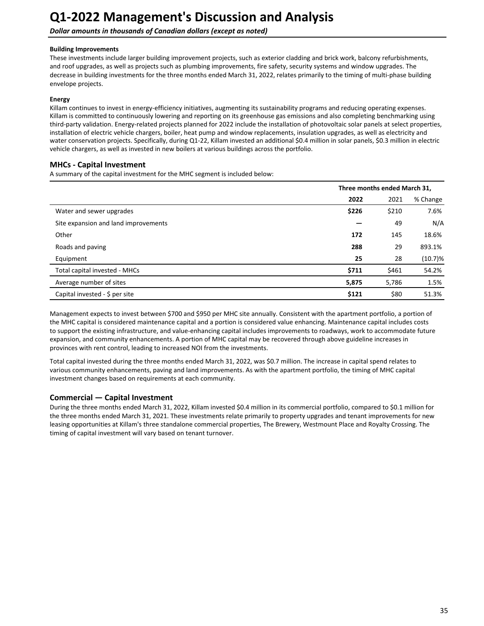**Dollar amounts in thousands of Canadian dollars (except as noted)** 

#### **Building Improvements**

These investments include larger building improvement projects, such as exterior cladding and brick work, balcony refurbishments, and roof upgrades, as well as projects such as plumbing improvements, fire safety, security systems and window upgrades. The decrease in building investments for the three months ended March 31, 2022, relates primarily to the timing of multi-phase building envelope projects.

#### **Energy**

Killam continues to invest in energy-efficiency initiatives, augmenting its sustainability programs and reducing operating expenses. Killam is committed to continuously lowering and reporting on its greenhouse gas emissions and also completing benchmarking using third-party validation. Energy-related projects planned for 2022 include the installation of photovoltaic solar panels at select properties, installation of electric vehicle chargers, boiler, heat pump and window replacements, insulation upgrades, as well as electricity and water conservation projects. Specifically, during Q1-22, Killam invested an additional \$0.4 million in solar panels, \$0.3 million in electric vehicle chargers, as well as invested in new boilers at various buildings across the portfolio.

### **MHCs - Capital Investment**

A summary of the capital investment for the MHC segment is included below:

|                                      | Three months ended March 31, |       |            |
|--------------------------------------|------------------------------|-------|------------|
|                                      | 2022                         | 2021  | % Change   |
| Water and sewer upgrades             | \$226                        | \$210 | 7.6%       |
| Site expansion and land improvements |                              | 49    | N/A        |
| Other                                | 172                          | 145   | 18.6%      |
| Roads and paving                     | 288                          | 29    | 893.1%     |
| Equipment                            | 25                           | 28    | $(10.7)\%$ |
| Total capital invested - MHCs        | \$711                        | \$461 | 54.2%      |
| Average number of sites              | 5,875                        | 5,786 | 1.5%       |
| Capital invested - \$ per site       | \$121                        | \$80  | 51.3%      |

Management expects to invest between \$700 and \$950 per MHC site annually. Consistent with the apartment portfolio, a portion of the MHC capital is considered maintenance capital and a portion is considered value enhancing. Maintenance capital includes costs to support the existing infrastructure, and value-enhancing capital includes improvements to roadways, work to accommodate future expansion, and community enhancements. A portion of MHC capital may be recovered through above guideline increases in provinces with rent control, leading to increased NOI from the investments.

Total capital invested during the three months ended March 31, 2022, was \$0.7 million. The increase in capital spend relates to various community enhancements, paving and land improvements. As with the apartment portfolio, the timing of MHC capital investment changes based on requirements at each community.

### **Commercial — Capital Investment**

During the three months ended March 31, 2022, Killam invested \$0.4 million in its commercial portfolio, compared to \$0.1 million for the three months ended March 31, 2021. These investments relate primarily to property upgrades and tenant improvements for new leasing opportunities at Killam's three standalone commercial properties, The Brewery, Westmount Place and Royalty Crossing. The timing of capital investment will vary based on tenant turnover.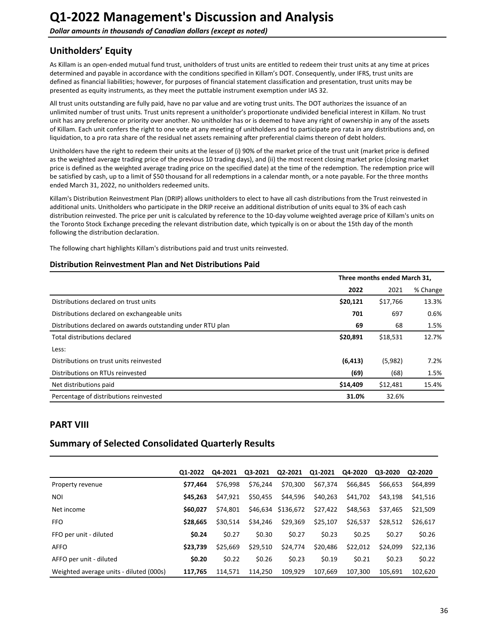<span id="page-35-0"></span>**Dollar amounts in thousands of Canadian dollars (except as noted)** 

## **Unitholders' Equity**

As Killam is an open-ended mutual fund trust, unitholders of trust units are entitled to redeem their trust units at any time at prices determined and payable in accordance with the conditions specified in Killam's DOT. Consequently, under IFRS, trust units are defined as financial liabilities; however, for purposes of financial statement classification and presentation, trust units may be presented as equity instruments, as they meet the puttable instrument exemption under IAS 32.

All trust units outstanding are fully paid, have no par value and are voting trust units. The DOT authorizes the issuance of an unlimited number of trust units. Trust units represent a unitholder's proportionate undivided beneficial interest in Killam. No trust unit has any preference or priority over another. No unitholder has or is deemed to have any right of ownership in any of the assets of Killam. Each unit confers the right to one vote at any meeting of unitholders and to participate pro rata in any distributions and, on liquidation, to a pro rata share of the residual net assets remaining after preferential claims thereon of debt holders.

Unitholders have the right to redeem their units at the lesser of (i) 90% of the market price of the trust unit (market price is defined as the weighted average trading price of the previous 10 trading days), and (ii) the most recent closing market price (closing market price is defined as the weighted average trading price on the specified date) at the time of the redemption. The redemption price will be satisfied by cash, up to a limit of \$50 thousand for all redemptions in a calendar month, or a note payable. For the three months ended March 31, 2022, no unitholders redeemed units.

Killam's Distribution Reinvestment Plan (DRIP) allows unitholders to elect to have all cash distributions from the Trust reinvested in additional units. Unitholders who participate in the DRIP receive an additional distribution of units equal to 3% of each cash distribution reinvested. The price per unit is calculated by reference to the 10-day volume weighted average price of Killam's units on the Toronto Stock Exchange preceding the relevant distribution date, which typically is on or about the 15th day of the month following the distribution declaration.

The following chart highlights Killam's distributions paid and trust units reinvested.

### **Distribution Reinvestment Plan and Net Distributions Paid**

|                                                             | Three months ended March 31, |          |          |
|-------------------------------------------------------------|------------------------------|----------|----------|
|                                                             | 2022                         | 2021     | % Change |
| Distributions declared on trust units                       | \$20,121                     | \$17,766 | 13.3%    |
| Distributions declared on exchangeable units                | 701                          | 697      | 0.6%     |
| Distributions declared on awards outstanding under RTU plan | 69                           | 68       | 1.5%     |
| Total distributions declared                                | \$20,891                     | \$18,531 | 12.7%    |
| Less:                                                       |                              |          |          |
| Distributions on trust units reinvested                     | (6, 413)                     | (5,982)  | 7.2%     |
| Distributions on RTUs reinvested                            | (69)                         | (68)     | 1.5%     |
| Net distributions paid                                      | \$14,409                     | \$12,481 | 15.4%    |
| Percentage of distributions reinvested                      | 31.0%                        | 32.6%    |          |

## **PART VIII**

## **Summary of Selected Consolidated Quarterly Results**

|                                         | 01-2022  | Q4-2021  | Q3-2021  | Q2-2021   | Q1-2021  | Q4-2020  | Q3-2020  | Q2-2020  |
|-----------------------------------------|----------|----------|----------|-----------|----------|----------|----------|----------|
| Property revenue                        | \$77.464 | \$76.998 | \$76.244 | \$70,300  | \$67,374 | \$66,845 | \$66,653 | \$64,899 |
| <b>NOI</b>                              | \$45.263 | \$47.921 | \$50.455 | \$44,596  | \$40,263 | \$41,702 | \$43,198 | \$41,516 |
| Net income                              | \$60.027 | \$74.801 | \$46.634 | \$136,672 | \$27,422 | \$48,563 | \$37,465 | \$21,509 |
| <b>FFO</b>                              | \$28.665 | \$30.514 | \$34,246 | \$29,369  | \$25,107 | \$26,537 | \$28,512 | \$26.617 |
| FFO per unit - diluted                  | \$0.24   | \$0.27   | \$0.30   | \$0.27    | \$0.23   | \$0.25   | \$0.27   | \$0.26   |
| <b>AFFO</b>                             | \$23.739 | \$25.669 | \$29,510 | \$24,774  | \$20,486 | \$22,012 | \$24.099 | \$22,136 |
| AFFO per unit - diluted                 | \$0.20   | \$0.22   | \$0.26   | \$0.23    | \$0.19   | \$0.21   | \$0.23   | \$0.22   |
| Weighted average units - diluted (000s) | 117.765  | 114.571  | 114.250  | 109.929   | 107.669  | 107.300  | 105.691  | 102.620  |